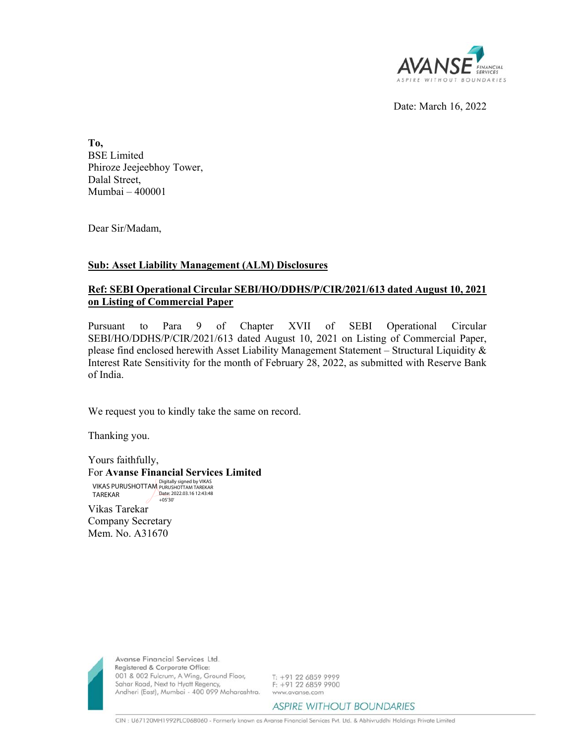

Date: March 16, 2022

**To,**  BSE Limited Phiroze Jeejeebhoy Tower, Dalal Street, Mumbai – 400001

Dear Sir/Madam,

## **Sub: Asset Liability Management (ALM) Disclosures**

## **Ref: SEBI Operational Circular SEBI/HO/DDHS/P/CIR/2021/613 dated August 10, 2021 on Listing of Commercial Paper**

Pursuant to Para 9 of Chapter XVII of SEBI Operational Circular SEBI/HO/DDHS/P/CIR/2021/613 dated August 10, 2021 on Listing of Commercial Paper, please find enclosed herewith Asset Liability Management Statement – Structural Liquidity  $\&$ Interest Rate Sensitivity for the month of February 28, 2022, as submitted with Reserve Bank of India.

We request you to kindly take the same on record.

Thanking you.

Yours faithfully, For **Avanse Financial Services Limited**

Vikas Tarekar VIKAS PURUSHOTTAM Digitally signed by VIKAS PURUSHOTTAM TAREKAR TAREKAR Date: 2022.03.16 12:43:48 +05'30'

Company Secretary Mem. No. A31670



Avanse Financial Services Ltd. Registered & Corporate Office: 001 & 002 Fulcrum, A Wing, Ground Floor, Sahar Road, Next to Hyatt Regency, Andheri (East), Mumbai - 400 099 Maharashtra.

T: +91 22 6859 9999  $F: +912268599900$ www.avanse.com

**ASPIRE WITHOUT BOUNDARIES**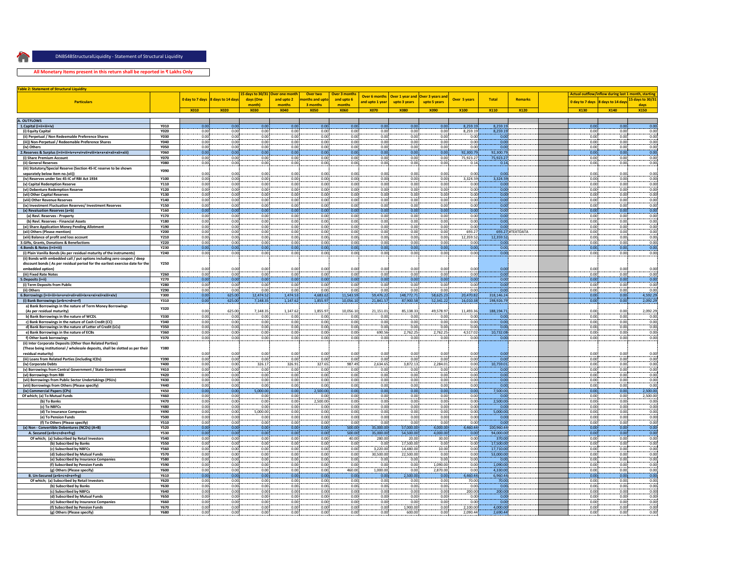

**All Monetary Items present in this return shall be reported in ₹ Lakhs Only**

| <b>Table 2: Statement of Structural Liquidity</b>                                                         |              |              |                                   |                    |                                 |                            |                      |                      |                        |                  |                     |               |                  |                                                     |              |                  |
|-----------------------------------------------------------------------------------------------------------|--------------|--------------|-----------------------------------|--------------------|---------------------------------|----------------------------|----------------------|----------------------|------------------------|------------------|---------------------|---------------|------------------|-----------------------------------------------------|--------------|------------------|
|                                                                                                           |              |              |                                   |                    | 15 days to 30/31 Over one month | Over two                   | Over 3 month:        | <b>Over 6 months</b> | <b>Over 1 year and</b> | Over 3 years and |                     |               |                  | Actual outflow/inflow during last 1 month, starting |              |                  |
| <b>Particulars</b>                                                                                        |              |              | 0 day to 7 days 8 days to 14 days | days (One<br>month | and upto 2<br>months            | onths and upto<br>3 months | and upto 6<br>months | and upto 1 year      | upto 3 years           | upto 5 years     | <b>Over 5 years</b> | <b>Total</b>  | <b>Remarks</b>   | 0 day to 7 days 8 days to 14 days                   |              | 15 days to 30/3: |
|                                                                                                           |              | X010         | <b>X020</b>                       | <b>X030</b>        | <b>X040</b>                     | <b>X050</b>                | <b>X060</b>          | <b>X070</b>          | <b>X080</b>            | <b>X090</b>      | <b>X100</b>         | <b>X110</b>   | <b>X120</b>      | <b>X130</b>                                         | X140         | days             |
|                                                                                                           |              |              |                                   |                    |                                 |                            |                      |                      |                        |                  |                     |               |                  |                                                     |              | <b>X150</b>      |
| A. OUTFLOWS                                                                                               |              |              |                                   |                    |                                 |                            |                      |                      |                        |                  |                     |               |                  |                                                     |              |                  |
| 1.Capital (i+ii+iii+iv)                                                                                   | <b>Y010</b>  | 0.00         | 0.00                              | 0.00               | 0.00                            | 0.00                       | 0.00                 | 0.00                 | 0.00                   | 0.00             | 8.259.19            | 8.259.19      |                  | 0.00                                                | 0.00         | 0.00             |
| (i) Equity Capital                                                                                        | Y020         | 0.00         | 0.00                              | 0.00               | 0.00                            | 0.00                       | 0.00                 | 0.00                 | 0.00                   | 0.00             | 8,259.19            | 8,259.19      |                  | 0.00                                                | 0.00         | 0.00             |
| (ii) Perpetual / Non Redeemable Preference Shares                                                         | <b>Y030</b>  | 0.00         | 0.00                              | 0.00               | 0.00                            | 0.00                       | 0.00                 | 0.00                 | 0.00                   | 0.00             | 0.00                | 0.00          |                  | 0.00                                                | 0.00         | 0.00             |
| (iii)) Non-Perpetual / Redeemable Preference Shares                                                       | <b>Y040</b>  | 0.00         | 0.00                              | 0.00               | 0.00                            | 0.00                       | 0.00                 | 0.00                 | 0.00                   | 0.00             | 0.00                | 0.00          |                  | 0.00                                                | 0.00         | 0.00             |
| (iv) Others                                                                                               | <b>Y050</b>  | 0.00         | 0.00                              | 0.00               | 0.00                            | 0.00                       | 0.00                 | 0.00                 | 0.00                   | 0.00             | 0.00                | 0.00          |                  | 0.00                                                | 0.00         | 0.00             |
|                                                                                                           | <b>Y060</b>  | 0.00         | 0.00                              | 0.00               | 0.00                            | 0.00                       | 0.00                 | 0.00                 | 0.00                   | 0.00             | 92,300.79           | 92,300.79     |                  | 0.00                                                | 0.00         | 0.00             |
| (i) Share Premium Account                                                                                 | <b>Y070</b>  | 0.00         | 0.00                              | 0.00               | 0.00                            | 0.00                       | 0.00                 | 0.00                 | 0.00                   | 0.00             | 75,923.27           | 75,923.27     |                  | 0.00                                                | 0.00         | 0.00             |
| (ii) General Reserves                                                                                     | <b>Y080</b>  | 0.00         | 0.00                              | 0.00               | 0.00                            | 0.00                       | 0.00                 | 0.00                 | 0.00                   | 0.00             | 0.14                | 0.14          |                  | 0.00                                                | 0.00         | 0.00             |
| (iii) Statutory/Special Reserve (Section 45-IC reserve to be shown                                        | <b>Y090</b>  |              |                                   |                    |                                 |                            |                      |                      |                        |                  |                     |               |                  |                                                     |              |                  |
| separately below item no.(vii)                                                                            |              | 0.00         | 0.00                              | 0.00               | 0.00                            | 0.00                       | 0.00                 | 0.00                 | 0.00                   | 0.00             | 0.00                | 0.00          |                  | 0.00                                                | 0.00         | 0.00             |
| (iv) Reserves under Sec 45-IC of RBI Act 1934                                                             | <b>Y100</b>  | 0.00         | 0.00                              | 0.00               | 0.00                            | 0.00                       | 0.00                 | 0.00                 | 0.00                   | 0.00             | 3,324.59            | 3.324.59      |                  | 0.00 <sup>i</sup>                                   | 0.00         | 0.00             |
| (v) Capital Redemption Reserve                                                                            | Y110         | 0.00         | 0.00                              | 0.00               | 0.00                            | 0.00                       | 0.00                 | 0.00                 | 0.00                   | 0.00             | 0.00                | 0.00          |                  | 0.00                                                | 0.00         | 0.00             |
| (vi) Debenture Redemption Reserve                                                                         | Y120         | 0.00         | 0.00                              | 0.00               | 0.00                            | 0.00                       | 0.00                 | 0.00                 | 0.00                   | 0.00             | 0.00                | 0.00          |                  | 0.00                                                | 0.00         | 0.00             |
| (vii) Other Capital Reserves                                                                              | <b>Y130</b>  | 0.00         | 0.00                              | 0.00               | 0.00                            | 0.00                       | 0.00                 | 0.00                 | 0.00                   | 0.00             | 0.00                | 0.00          |                  | 0.00                                                | 0.00         | 0.00             |
| (viii) Other Revenue Reserves                                                                             | Y140         | 0.00         | 0.00                              | 0.00               | 0.00                            | 0.00                       | 0.00                 | 0.00                 | 0.00                   | 0.00             | 0.00                | 0.00          |                  | 0.00                                                | 0.00         | 0.00             |
| (ix) Investment Fluctuation Reserves/ Investment Reserves                                                 | Y150         | 0.00         | 0.00                              | 0.00               | 0.00                            | 0.00                       | 0.00                 | 0.00                 | 0.00                   | 0.00             | 0.00                | 0.00          |                  | 0.00                                                | 0.00         | 0.00             |
| (x) Revaluation Reserves (a+b)                                                                            | Y160         | 0.00         | 0.00                              | 0.00               | 0.00                            | 0.00                       | 0.00                 | 0.00                 | 0.00                   | 0.00             | 0.00                | 0.00          |                  | 0.00                                                | 0.00         | 0.00             |
| (a) Revl. Reserves - Property                                                                             | <b>Y170</b>  | 0.00         | 0.00                              | 0.00               | 0.00                            | 0.00                       | 0.00                 | 0.00                 | 0.00                   | 0.00             | 0.00                | 0.00          |                  | 0.00                                                | 0.00         | 0.00             |
| (b) Revl. Reserves - Financial Assets                                                                     | Y180<br>Y190 | 0.00<br>0.00 | 0.00<br>0.00                      | 0.00<br>0.00       | 0.00<br>0.00                    | 0.00<br>0.00               | 0.00<br>0.00         | 0.00<br>0.00         | 0.00<br>0.00           | 0.00<br>0.00     | 0.00<br>0.00        | 0.00<br>0.00  |                  | 0.00<br>0.00                                        | 0.00<br>0.00 | 0.00             |
| (xi) Share Application Money Pending Allotment                                                            | Y200         |              |                                   |                    | 0.00                            |                            |                      |                      |                        |                  |                     |               |                  |                                                     | 0.00         | 0.00             |
| (xii) Others (Please mention)                                                                             | Y210         | 0.00<br>0.00 | 0.00<br>0.00                      | 0.00<br>0.00       | 0.00                            | 0.00<br>0.00               | 0.00<br>0.00         | 0.00<br>0.00         | 0.00<br>0.00           | 0.00<br>0.00     | 693.27<br>12,359.52 | 12,359.52     | 693.27 #TEXTDATA | 0.00<br>0.00                                        | 0.00         | 0.00<br>0.001    |
| (xiii) Balance of profit and loss account<br>3.Gifts, Grants, Donations & Benefactions                    | Y220         | 0.00         | 0.00                              | 0.00               | 0.00                            | 0.00                       | 0.00                 | 0.00                 | 0.00                   | 0.00             | 0.00                | 0.00          |                  | 0.00                                                | 0.00         | 0.00             |
| 4.Bonds & Notes (i+ii+iii)                                                                                | Y230         | 0.00         | 0.00                              | 0.00               | 0.00                            | 0.00                       | 0.00                 | 0.00                 | 0.00                   | 0.00             | 0.00                | 0.00          |                  | 0.00                                                | 0.00         | 0.00             |
| (i) Plain Vanilla Bonds (As per residual maturity of the instruments)                                     | Y240         | 0.00         | 0.00                              | 0.00               | 0.00                            | 0.00                       | 0.00                 | 0.00                 | 0.00                   | 0.00             | 0.00                | 0.00          |                  | 0.00                                                | 0.00         | 0.00             |
| (ii) Bonds with embedded call / put options including zero coupon / deep                                  |              |              |                                   |                    |                                 |                            |                      |                      |                        |                  |                     |               |                  |                                                     |              |                  |
| discount bonds (As per residual period for the earliest exercise date for the                             | <b>Y250</b>  |              |                                   |                    |                                 |                            |                      |                      |                        |                  |                     |               |                  |                                                     |              |                  |
| embedded option)                                                                                          |              | 0.00         | 0.00                              | 0.00               | 0.00                            | 0.00                       | 0.00                 | 0.00                 | 0.00                   | 0.00             | 0.00                | 0.00          |                  | 0.00                                                | 0.00         | 0.00             |
| (iii) Fixed Rate Notes                                                                                    | Y260         | 0.00         | 0.00                              | 0.00               | 0.00                            | 0.00                       | 0.00                 | 0.00                 | 0.00                   | 0.00             | 0.00                | 0.00          |                  | 0.00:                                               | 0.00         | 0.00             |
| 5.Deposits (i+ii)                                                                                         | <b>Y270</b>  | 0.00         | 0.00                              | 0.00               | 0.00                            | 0.00                       | 0.00                 | 0.00                 | 0.00                   | 0.00             | 0.00                | 0.00          |                  | 0.00                                                | 0.00         | 0.00             |
| (i) Term Deposits from Public                                                                             | <b>Y280</b>  | 0.00         | 0.00                              | 0.00               | 0.00                            | 0.00                       | 0.00                 | 0.00                 | 0.00                   | 0.00             | 0.00                | 0.00          |                  | 0.00.                                               | 0.00         | 0.00             |
| (ii) Others                                                                                               | Y290         | 0.00         | 0.00                              | 0.00               | 0.00                            | 0.00                       | 0.00                 | 0.00                 | 0.00                   | 0.00             | 0.00                | 0.00          |                  | 0.00                                                | 0.00         | 0.00             |
|                                                                                                           | Y300         | 0.00         | 625.00                            | 12,474.52          | 1,474.53                        | 4,683.62                   | 11,543.59            | 59,476.22            | 148,772.71             | 58,625.23        | 20,470.82           | 318.146.24    |                  | 0.00                                                | 0.00         | 4,592.29         |
| (i) Bank Borrowings (a+b+c+d+e+f)                                                                         | Y310         | 0.00         | 625.00                            | 7,148.35           | 1,147.62                        | 1,855.97                   | 10,056.10            | 21,841.57            | 87,900.58              | 52,341.22        | 16,010.38           | 198,926.79    |                  | 0.00                                                | 0.00         | 2,092.29         |
| a) Bank Borrowings in the nature of Term Money Borrowings                                                 |              |              |                                   |                    |                                 |                            |                      |                      |                        |                  |                     |               |                  |                                                     |              |                  |
| (As per residual maturity)                                                                                | Y320         | 0.00         | 625.00                            | 7,148.35           | 1,147.62                        | 1,855.97                   | 10,056.10            | 21,151.01            | 85,138.33              | 49,578.97        | 11,493.36           | 188,194.71    |                  | 0.00                                                | 0.00         | 2,092.29         |
| b) Bank Borrowings in the nature of WCDL                                                                  | <b>Y330</b>  | 0.00         | 0.00                              | 0.00               | 0.00                            | 0.00                       | 0.00                 | 0.00                 | 0.00                   | 0.00             | 0.00                | 0.00          |                  | 0.00                                                | 0.00         | 0.00             |
| c) Bank Borrowings in the nature of Cash Credit (CC)                                                      | Y340         | 0.00         | 0.00                              | 0.00               | 0.00                            | 0.00                       | 0.00                 | 0.00                 | 0.00                   | 0.00             | 0.00                | 0.00          |                  | 0.00                                                | 0.00         | 0.00             |
| d) Bank Borrowings in the nature of Letter of Credit (LCs)                                                | <b>Y350</b>  | 0.00         | 0.00                              | 0.00               | 0.00                            | 0.00                       | 0.00                 | 0.00                 | 0.00                   | 0.00             | 0.00                | 0.00          |                  | 0.00                                                | 0.00         | 0.00             |
| e) Bank Borrowings in the nature of ECBs                                                                  | Y360         | 0.00         | 0.00                              | 0.00               | 0.00                            | 0.00                       | 0.00                 | 690.56               | 2,762.25               | 2,762.25         | 4,517.02            | 10,732.0      |                  | 0.00                                                | 0.00         | 0.00             |
| f) Other bank borrowings                                                                                  | <b>Y370</b>  | 0.00         | 0.00                              | 0.00               | 0.00                            | 0.00                       | 0.00                 | 0.00                 | 0.00                   | 0.00             | 0.00                | 0.0           |                  | 0.00                                                | 0.00         | 0.00             |
| (ii) Inter Corporate Deposits (Other than Related Parties)                                                |              |              |                                   |                    |                                 |                            |                      |                      |                        |                  |                     |               |                  |                                                     |              |                  |
| (These being institutional / wholesale deposits, shall be slotted as per their                            | <b>Y380</b>  |              |                                   |                    |                                 |                            |                      |                      |                        |                  |                     |               |                  |                                                     |              |                  |
| residual maturity)                                                                                        |              | 0.00         | 0.00                              | 0.00               | 0.00                            | 0.00                       | 0.00                 | 0.00                 | 0.00                   | 0.00             | 0.00                | 0.00          |                  | 0.00                                                | 0.00         | 0.00             |
| (iii) Loans from Related Parties (including ICDs)                                                         | Y390         | 0.00         | 0.00                              | 0.00               | 0.00                            | 0.00                       | 0.00                 | 0.00                 | 0.00                   | 0.00             | 0.00                | 0.00          |                  | 0.00                                                | 0.00         | 0.00             |
| (iv) Corporate Debts                                                                                      | Y400         | 0.00         | 0.00                              | 326.17             | 326.91                          | 327.65                     | 987.49               | 2,634.65             | 3,872.13               | 2,284.01         | 0.00                | 10,759.01     |                  | 0.00                                                | 0.00         | 0.00             |
| (v) Borrowings from Central Government / State Government                                                 | Y410         | 0.00         | 0.00                              | 0.00               | 0.00                            | 0.00                       | 0.00                 | 0.00                 | 0.00                   | 0.00             | 0.00                | 0.00          |                  | 0.00                                                | 0.00         | 0.00             |
| (vi) Borrowings from RBI                                                                                  | Y420         | 0.00         | 0.00                              | 0.00               | 0.00                            | 0.00                       | 0.00                 | 0.00                 | 0.00                   | 0.00             | 0.00                | 0.00          |                  | 0.00                                                | 0.00         | 0.00             |
| (vii) Borrowings from Public Sector Undertakings (PSUs)<br>(viii) Borrowings from Others (Please specify) | Y430<br>Y440 | 0.00<br>0.00 | 0.00<br>0.00                      | 0.00<br>0.00       | 0.00<br>0.00                    | 0.00<br>0.00               | 0.00<br>0.00         | 0.00<br>0.00         | 0.00<br>0.00           | 0.00<br>0.00     | 0.00<br>0.00        | 0.00<br>0.00  |                  | 0.00<br>0.00                                        | 0.00<br>0.00 | 0.00<br>0.00     |
| (ix) Commercial Papers (CPs)                                                                              | Y450         | 0.00         | 0.00                              | 5,000.00           | 0.00                            | 2,500.00                   | 0.00                 | 0.00                 | 0.00                   | 0.00             | 0.00                | 7,500.00      |                  | 0.00                                                | 0.00         | 2,500.00         |
| Of which; (a) To Mutual Funds                                                                             | Y460         | 0.00         | 0.00                              | 0.00               | 0.00                            | 0.00                       | 0.00                 | 0.00                 | 0.00                   | 0.00             | 0.00                | 0.00          |                  | 0.00                                                | 0.00         | 2,500.00         |
| (b) To Banks                                                                                              | Y470         | 0.00         | 0.00                              | 0.00               | 0.00                            | 2,500.00                   | 0.00                 | 0.00                 | 0.00                   | 0.00             | 0.00                | 2,500.00      |                  | 0.00                                                | 0.00         | 0.00             |
| (c) To NBFCs                                                                                              | Y480         | 0.00         | 0.00                              | 0.00               | 0.00                            | 0.00                       | 0.00                 | 0.00                 | 0.00                   | 0.00             | 0.00                | 0.00          |                  | 0.00                                                | 0.00         | 0.00             |
| (d) To Insurance Companies                                                                                | <b>Y490</b>  | 0.00         | 0.00                              | 5.000.00           | 0.00                            | 0.00                       | 0.00                 | 0.00                 | 0.00                   | 0.00             | 0.00                | 5,000.00      |                  | 0.00                                                | 0.00         | 0.00             |
| (e) To Pension Funds                                                                                      | <b>Y500</b>  | 0.00         | 0.00                              | 0.00               | 0.00                            | 0.00                       | 0.00                 | 0.00                 | 0.00                   | 0.00             | 0.00                | 0.00          |                  | 0.00                                                | 0.00         | 0.00             |
| (f) To Others (Please specify)                                                                            | <b>Y510</b>  | 0.001        | 0.00                              | 0.00               | 0.00                            | 0.00                       | 0.00                 | 0.00                 | 0.00                   | 0.001            | 0.001               | 0.00          |                  | 0.001                                               | 0.001        | 0.00             |
| (x) Non - Convertible Debentures (NCDs) (A+B)                                                             | <b>Y520</b>  | 0.00         | 0.00                              | 0.00               | 0.00                            | 0.00                       | 500.00               | 35,000.00            | 57,000.00              | 4,000.00         | 4,460.44            | 100,960.44    |                  | 0.00                                                | 0.00         | 0.00             |
| A. Secured (a+b+c+d+e+f+g)                                                                                | <b>Y530</b>  | 0.00         | 0.00                              | 0.00               | 0.00                            | 0.00                       | 500.00               | 35,000.00            | 54,500.00              | 4,000.00         | 0.00                | 94,000.00     |                  | 0.00                                                | 0.00         | 0.00             |
| Of which; (a) Subscribed by Retail Investors                                                              | Y540         | 0.00         | 0.00                              | 0.00               | 0.00                            | 0.00                       | 40.00                | 280.00               | 20.00                  | 30.00            | 0.00                | 370.00        |                  | 0.00                                                | 0.00         | 0.00             |
| (b) Subscribed by Banks                                                                                   | <b>Y550</b>  | 0.00         | 0.00                              | 0.00               | 0.00                            | 0.00                       | 0.00                 | 0.00                 | 17,500.00              | 0.00             | 0.00                | 17,500.00     |                  | 0.00                                                | 0.00         | 0.00             |
| (c) Subscribed by NBFCs                                                                                   | Y560         | 0.00         | 0.00                              | 0.00               | 0.00                            | 0.00                       | 0.00                 | 3.220.00             | 14,480.00              | 10.00            | 0.00                | 17,710.00     |                  | 0.00                                                | 0.00         | 0.00             |
| (d) Subscribed by Mutual Funds                                                                            | <b>Y570</b>  | 0.00         | 0.00                              | 0.00               | 0.00                            | 0.00                       | 0.00                 | 30,500.00            | 22,500.00              | 0.00             | 0.00                | 53,000.00     |                  | 0.00                                                | 0.00         | 0.00             |
| (e) Subscribed by Insurance Companies                                                                     | <b>Y580</b>  | 0.00         | 0.00                              | 0.00               | 0.00                            | 0.00                       | 0.00                 | 0.00                 | 0.00                   | 0.00             | 0.00                | 0.00          |                  | 0.00                                                | 0.00         | 0.00             |
| (f) Subscribed by Pension Funds                                                                           | <b>Y590</b>  | 0.00         | 0.00                              | 0.00               | 0.00                            | 0.00                       | 0.00                 | 0.00                 | 0.00                   | 1,090.00         | 0.00                | 1,090.00      |                  | 0.00                                                | 0.00         | 0.00             |
| (g) Others (Please specify)                                                                               | Y600         | 0.00         | 0.00                              | 0.00               | 0.00                            | 0.00                       | 460.00               | 1,000.00             | 0.00                   | 2,870.00         | 0.00                | 4,330.00      |                  | 0.00                                                | 0.00         | 0.00             |
| B. Un-Secured (a+b+c+d+e+f+g)                                                                             | Y610         | 0.00         | 0.00                              | 0.00               | 0.00                            | 0.00                       | 0.00                 | 0.00                 | 2,500.00               | 0.00             | 4,460.44            | 6,960.44      |                  | 0.00                                                | 0.00         | 0.00             |
| Of which; (a) Subscribed by Retail Investors                                                              | Y620<br>Y630 | 0.00         | 0.00                              | 0.00<br>0.00       | 0.00<br>0.00                    | 0.00                       | 0.00<br>0.00         | 0.00<br>0.00         | 0.00<br>0.00           | 0.00             | 70.00<br>0.00       | 70.00<br>0.00 |                  | 0.00<br>0.00                                        | 0.00<br>0.00 | 0.00             |
| (b) Subscribed by Banks<br>(c) Subscribed by NBFCs                                                        | Y640         | 0.00<br>0.00 | 0.00<br>0.00                      | 0.00               | 0.00                            | 0.00<br>0.00               | 0.00                 | 0.00                 | 0.00                   | 0.00<br>0.00     | 200.00              | 200.00        |                  | 0.00                                                | 0.00         | 0.00<br>0.00     |
| (d) Subscribed by Mutual Funds                                                                            | <b>Y650</b>  | 0.00         | 0.00                              | 0.00               | 0.00                            | 0.00                       | 0.00                 | 0.00                 | 0.00                   | 0.00             | 0.00                | 0.00          |                  | 0.00                                                | 0.00         | 0.00             |
| (e) Subscribed by Insurance Companies                                                                     | Y660         | 0.00         | 0.00                              | 0.00               | 0.00                            | 0.00                       | 0.00                 | 0.00                 | 0.00                   | 0.00             | 0.00                | 0.00          |                  | 0.00                                                | 0.00         | 0.00             |
| (f) Subscribed by Pension Funds                                                                           | Y670         | 0.00         | 0.00                              | 0.00               | 0.00                            | 0.00                       | 0.00                 | 0.00                 | 1,900.00               | 0.00             | 2,100.00            | 4,000.00      |                  | 0.00                                                | 0.00         | 0.00             |
| (g) Others (Please specify)                                                                               | Y680         | 0.00         | 0.00                              | 0.00               | 0.00                            | 0.00                       | 0.00                 | 0.00                 | 600.00                 | 0.00             | 2,090.44            | 2.690.44      |                  | 0.00                                                | 0.00         | 0.00             |
|                                                                                                           |              |              |                                   |                    |                                 |                            |                      |                      |                        |                  |                     |               |                  |                                                     |              |                  |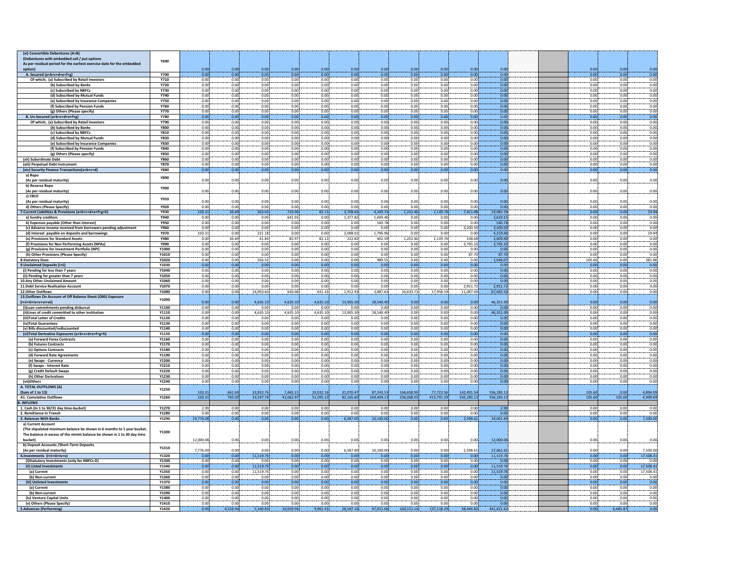| Y690         |                                                                                                                                                                                                                                                                               |                                                                              |                                                                                                                                                                                                                                                                                                                      |                                                                                                                                                                                                                |                                                                                                                                                                                                              |                                                                                                                                                                                                              |                                                                                                                                                                                                                          |                                                                                                                                                                                                |                                                                                                                                                                                                              |                                                                                                                                                                                              |                                                                                                                                                                                                                           |                                                                                                                                                                                                                  |              |                                                                                                                                                                                                        |                                                                                                                                                                                                |
|--------------|-------------------------------------------------------------------------------------------------------------------------------------------------------------------------------------------------------------------------------------------------------------------------------|------------------------------------------------------------------------------|----------------------------------------------------------------------------------------------------------------------------------------------------------------------------------------------------------------------------------------------------------------------------------------------------------------------|----------------------------------------------------------------------------------------------------------------------------------------------------------------------------------------------------------------|--------------------------------------------------------------------------------------------------------------------------------------------------------------------------------------------------------------|--------------------------------------------------------------------------------------------------------------------------------------------------------------------------------------------------------------|--------------------------------------------------------------------------------------------------------------------------------------------------------------------------------------------------------------------------|------------------------------------------------------------------------------------------------------------------------------------------------------------------------------------------------|--------------------------------------------------------------------------------------------------------------------------------------------------------------------------------------------------------------|----------------------------------------------------------------------------------------------------------------------------------------------------------------------------------------------|---------------------------------------------------------------------------------------------------------------------------------------------------------------------------------------------------------------------------|------------------------------------------------------------------------------------------------------------------------------------------------------------------------------------------------------------------|--------------|--------------------------------------------------------------------------------------------------------------------------------------------------------------------------------------------------------|------------------------------------------------------------------------------------------------------------------------------------------------------------------------------------------------|
|              |                                                                                                                                                                                                                                                                               |                                                                              |                                                                                                                                                                                                                                                                                                                      |                                                                                                                                                                                                                |                                                                                                                                                                                                              |                                                                                                                                                                                                              |                                                                                                                                                                                                                          |                                                                                                                                                                                                |                                                                                                                                                                                                              |                                                                                                                                                                                              |                                                                                                                                                                                                                           |                                                                                                                                                                                                                  |              |                                                                                                                                                                                                        |                                                                                                                                                                                                |
|              | 0.00                                                                                                                                                                                                                                                                          | 0.00                                                                         | 0.00                                                                                                                                                                                                                                                                                                                 | 0.00                                                                                                                                                                                                           | 0.00                                                                                                                                                                                                         | 0.00                                                                                                                                                                                                         | 0.00                                                                                                                                                                                                                     | 0.00                                                                                                                                                                                           | 0.00                                                                                                                                                                                                         | 0.00                                                                                                                                                                                         | 0.00                                                                                                                                                                                                                      |                                                                                                                                                                                                                  | 0.00         | 0.00                                                                                                                                                                                                   | 0.00                                                                                                                                                                                           |
|              |                                                                                                                                                                                                                                                                               |                                                                              |                                                                                                                                                                                                                                                                                                                      |                                                                                                                                                                                                                |                                                                                                                                                                                                              |                                                                                                                                                                                                              |                                                                                                                                                                                                                          |                                                                                                                                                                                                |                                                                                                                                                                                                              |                                                                                                                                                                                              |                                                                                                                                                                                                                           |                                                                                                                                                                                                                  |              |                                                                                                                                                                                                        | 0.00                                                                                                                                                                                           |
| Y710         |                                                                                                                                                                                                                                                                               |                                                                              |                                                                                                                                                                                                                                                                                                                      |                                                                                                                                                                                                                |                                                                                                                                                                                                              |                                                                                                                                                                                                              |                                                                                                                                                                                                                          | 0.00                                                                                                                                                                                           | 0.00                                                                                                                                                                                                         |                                                                                                                                                                                              |                                                                                                                                                                                                                           |                                                                                                                                                                                                                  | 0.00         |                                                                                                                                                                                                        | 0.00                                                                                                                                                                                           |
| Y720         |                                                                                                                                                                                                                                                                               |                                                                              |                                                                                                                                                                                                                                                                                                                      |                                                                                                                                                                                                                |                                                                                                                                                                                                              |                                                                                                                                                                                                              |                                                                                                                                                                                                                          |                                                                                                                                                                                                |                                                                                                                                                                                                              |                                                                                                                                                                                              |                                                                                                                                                                                                                           |                                                                                                                                                                                                                  |              |                                                                                                                                                                                                        | 0.00                                                                                                                                                                                           |
| Y730         | 0.00                                                                                                                                                                                                                                                                          | 0.00                                                                         | 0.00                                                                                                                                                                                                                                                                                                                 | 0.00                                                                                                                                                                                                           | 0.00                                                                                                                                                                                                         | 0.00                                                                                                                                                                                                         | 0.00                                                                                                                                                                                                                     | 0.00                                                                                                                                                                                           | 0.00                                                                                                                                                                                                         | 0.00                                                                                                                                                                                         | 0.00                                                                                                                                                                                                                      |                                                                                                                                                                                                                  | 0.00         | 0.00                                                                                                                                                                                                   | 0.00                                                                                                                                                                                           |
|              |                                                                                                                                                                                                                                                                               |                                                                              |                                                                                                                                                                                                                                                                                                                      |                                                                                                                                                                                                                |                                                                                                                                                                                                              |                                                                                                                                                                                                              |                                                                                                                                                                                                                          |                                                                                                                                                                                                |                                                                                                                                                                                                              |                                                                                                                                                                                              |                                                                                                                                                                                                                           |                                                                                                                                                                                                                  |              |                                                                                                                                                                                                        | 0.00                                                                                                                                                                                           |
|              |                                                                                                                                                                                                                                                                               |                                                                              |                                                                                                                                                                                                                                                                                                                      |                                                                                                                                                                                                                |                                                                                                                                                                                                              |                                                                                                                                                                                                              |                                                                                                                                                                                                                          |                                                                                                                                                                                                |                                                                                                                                                                                                              |                                                                                                                                                                                              |                                                                                                                                                                                                                           |                                                                                                                                                                                                                  |              |                                                                                                                                                                                                        | 0.00                                                                                                                                                                                           |
|              |                                                                                                                                                                                                                                                                               |                                                                              |                                                                                                                                                                                                                                                                                                                      |                                                                                                                                                                                                                |                                                                                                                                                                                                              |                                                                                                                                                                                                              |                                                                                                                                                                                                                          |                                                                                                                                                                                                |                                                                                                                                                                                                              |                                                                                                                                                                                              |                                                                                                                                                                                                                           |                                                                                                                                                                                                                  |              |                                                                                                                                                                                                        | 0.00                                                                                                                                                                                           |
|              |                                                                                                                                                                                                                                                                               |                                                                              |                                                                                                                                                                                                                                                                                                                      |                                                                                                                                                                                                                |                                                                                                                                                                                                              |                                                                                                                                                                                                              |                                                                                                                                                                                                                          |                                                                                                                                                                                                |                                                                                                                                                                                                              |                                                                                                                                                                                              |                                                                                                                                                                                                                           |                                                                                                                                                                                                                  |              |                                                                                                                                                                                                        | 0.00                                                                                                                                                                                           |
|              |                                                                                                                                                                                                                                                                               |                                                                              |                                                                                                                                                                                                                                                                                                                      |                                                                                                                                                                                                                |                                                                                                                                                                                                              |                                                                                                                                                                                                              |                                                                                                                                                                                                                          |                                                                                                                                                                                                |                                                                                                                                                                                                              |                                                                                                                                                                                              |                                                                                                                                                                                                                           |                                                                                                                                                                                                                  |              |                                                                                                                                                                                                        | 0.00                                                                                                                                                                                           |
|              |                                                                                                                                                                                                                                                                               |                                                                              |                                                                                                                                                                                                                                                                                                                      |                                                                                                                                                                                                                |                                                                                                                                                                                                              |                                                                                                                                                                                                              |                                                                                                                                                                                                                          |                                                                                                                                                                                                |                                                                                                                                                                                                              |                                                                                                                                                                                              |                                                                                                                                                                                                                           |                                                                                                                                                                                                                  |              |                                                                                                                                                                                                        | 0.00                                                                                                                                                                                           |
|              |                                                                                                                                                                                                                                                                               |                                                                              |                                                                                                                                                                                                                                                                                                                      |                                                                                                                                                                                                                |                                                                                                                                                                                                              |                                                                                                                                                                                                              |                                                                                                                                                                                                                          |                                                                                                                                                                                                |                                                                                                                                                                                                              |                                                                                                                                                                                              |                                                                                                                                                                                                                           |                                                                                                                                                                                                                  |              |                                                                                                                                                                                                        | 0.00                                                                                                                                                                                           |
|              |                                                                                                                                                                                                                                                                               |                                                                              |                                                                                                                                                                                                                                                                                                                      |                                                                                                                                                                                                                |                                                                                                                                                                                                              |                                                                                                                                                                                                              |                                                                                                                                                                                                                          |                                                                                                                                                                                                |                                                                                                                                                                                                              |                                                                                                                                                                                              |                                                                                                                                                                                                                           |                                                                                                                                                                                                                  |              |                                                                                                                                                                                                        |                                                                                                                                                                                                |
|              |                                                                                                                                                                                                                                                                               |                                                                              |                                                                                                                                                                                                                                                                                                                      |                                                                                                                                                                                                                |                                                                                                                                                                                                              |                                                                                                                                                                                                              |                                                                                                                                                                                                                          |                                                                                                                                                                                                |                                                                                                                                                                                                              |                                                                                                                                                                                              |                                                                                                                                                                                                                           |                                                                                                                                                                                                                  |              |                                                                                                                                                                                                        | 0.00                                                                                                                                                                                           |
|              |                                                                                                                                                                                                                                                                               |                                                                              |                                                                                                                                                                                                                                                                                                                      |                                                                                                                                                                                                                |                                                                                                                                                                                                              |                                                                                                                                                                                                              |                                                                                                                                                                                                                          |                                                                                                                                                                                                |                                                                                                                                                                                                              |                                                                                                                                                                                              |                                                                                                                                                                                                                           |                                                                                                                                                                                                                  |              |                                                                                                                                                                                                        | 0.00                                                                                                                                                                                           |
|              |                                                                                                                                                                                                                                                                               |                                                                              |                                                                                                                                                                                                                                                                                                                      |                                                                                                                                                                                                                |                                                                                                                                                                                                              |                                                                                                                                                                                                              |                                                                                                                                                                                                                          |                                                                                                                                                                                                |                                                                                                                                                                                                              |                                                                                                                                                                                              |                                                                                                                                                                                                                           |                                                                                                                                                                                                                  |              |                                                                                                                                                                                                        | 0.00                                                                                                                                                                                           |
|              |                                                                                                                                                                                                                                                                               |                                                                              |                                                                                                                                                                                                                                                                                                                      |                                                                                                                                                                                                                |                                                                                                                                                                                                              |                                                                                                                                                                                                              |                                                                                                                                                                                                                          |                                                                                                                                                                                                |                                                                                                                                                                                                              |                                                                                                                                                                                              |                                                                                                                                                                                                                           |                                                                                                                                                                                                                  |              |                                                                                                                                                                                                        | 0.00                                                                                                                                                                                           |
|              |                                                                                                                                                                                                                                                                               |                                                                              |                                                                                                                                                                                                                                                                                                                      |                                                                                                                                                                                                                |                                                                                                                                                                                                              |                                                                                                                                                                                                              |                                                                                                                                                                                                                          |                                                                                                                                                                                                |                                                                                                                                                                                                              |                                                                                                                                                                                              |                                                                                                                                                                                                                           |                                                                                                                                                                                                                  |              |                                                                                                                                                                                                        | 0.00                                                                                                                                                                                           |
|              |                                                                                                                                                                                                                                                                               |                                                                              |                                                                                                                                                                                                                                                                                                                      |                                                                                                                                                                                                                |                                                                                                                                                                                                              |                                                                                                                                                                                                              |                                                                                                                                                                                                                          |                                                                                                                                                                                                |                                                                                                                                                                                                              |                                                                                                                                                                                              |                                                                                                                                                                                                                           |                                                                                                                                                                                                                  |              |                                                                                                                                                                                                        | 0.00                                                                                                                                                                                           |
|              |                                                                                                                                                                                                                                                                               |                                                                              |                                                                                                                                                                                                                                                                                                                      |                                                                                                                                                                                                                |                                                                                                                                                                                                              |                                                                                                                                                                                                              |                                                                                                                                                                                                                          |                                                                                                                                                                                                |                                                                                                                                                                                                              |                                                                                                                                                                                              |                                                                                                                                                                                                                           |                                                                                                                                                                                                                  |              |                                                                                                                                                                                                        | 0.00                                                                                                                                                                                           |
|              |                                                                                                                                                                                                                                                                               |                                                                              |                                                                                                                                                                                                                                                                                                                      |                                                                                                                                                                                                                |                                                                                                                                                                                                              |                                                                                                                                                                                                              |                                                                                                                                                                                                                          |                                                                                                                                                                                                |                                                                                                                                                                                                              |                                                                                                                                                                                              |                                                                                                                                                                                                                           |                                                                                                                                                                                                                  |              |                                                                                                                                                                                                        | 0.00                                                                                                                                                                                           |
|              |                                                                                                                                                                                                                                                                               |                                                                              |                                                                                                                                                                                                                                                                                                                      |                                                                                                                                                                                                                |                                                                                                                                                                                                              |                                                                                                                                                                                                              |                                                                                                                                                                                                                          |                                                                                                                                                                                                |                                                                                                                                                                                                              |                                                                                                                                                                                              |                                                                                                                                                                                                                           |                                                                                                                                                                                                                  |              |                                                                                                                                                                                                        |                                                                                                                                                                                                |
|              | 0.00                                                                                                                                                                                                                                                                          | 0.00                                                                         | 0.00                                                                                                                                                                                                                                                                                                                 | 0.00                                                                                                                                                                                                           | 0.00                                                                                                                                                                                                         | 0.00                                                                                                                                                                                                         | 0.00                                                                                                                                                                                                                     | 0.00                                                                                                                                                                                           | 0.00                                                                                                                                                                                                         |                                                                                                                                                                                              | 0.00                                                                                                                                                                                                                      |                                                                                                                                                                                                                  | 0.00         | 0.00                                                                                                                                                                                                   | 0.00                                                                                                                                                                                           |
|              |                                                                                                                                                                                                                                                                               |                                                                              |                                                                                                                                                                                                                                                                                                                      |                                                                                                                                                                                                                |                                                                                                                                                                                                              |                                                                                                                                                                                                              |                                                                                                                                                                                                                          |                                                                                                                                                                                                |                                                                                                                                                                                                              |                                                                                                                                                                                              |                                                                                                                                                                                                                           |                                                                                                                                                                                                                  |              |                                                                                                                                                                                                        |                                                                                                                                                                                                |
|              | 0.00                                                                                                                                                                                                                                                                          | 0.00                                                                         | 0.00                                                                                                                                                                                                                                                                                                                 | 0.00                                                                                                                                                                                                           | 0.00                                                                                                                                                                                                         | 0.00                                                                                                                                                                                                         | 0.00                                                                                                                                                                                                                     | 0.00                                                                                                                                                                                           | 0.00                                                                                                                                                                                                         | 0.00                                                                                                                                                                                         | 0.00                                                                                                                                                                                                                      |                                                                                                                                                                                                                  | 0.00         | 0.00                                                                                                                                                                                                   | 0.00                                                                                                                                                                                           |
|              |                                                                                                                                                                                                                                                                               |                                                                              |                                                                                                                                                                                                                                                                                                                      |                                                                                                                                                                                                                |                                                                                                                                                                                                              |                                                                                                                                                                                                              |                                                                                                                                                                                                                          |                                                                                                                                                                                                |                                                                                                                                                                                                              |                                                                                                                                                                                              |                                                                                                                                                                                                                           |                                                                                                                                                                                                                  |              |                                                                                                                                                                                                        |                                                                                                                                                                                                |
|              | 0.00                                                                                                                                                                                                                                                                          | 0.00                                                                         | 0.00                                                                                                                                                                                                                                                                                                                 | 0.00                                                                                                                                                                                                           | 0.00                                                                                                                                                                                                         | 0.00                                                                                                                                                                                                         | 0.00                                                                                                                                                                                                                     | 0.00                                                                                                                                                                                           | 0.00                                                                                                                                                                                                         | 0.00                                                                                                                                                                                         | 0.00                                                                                                                                                                                                                      |                                                                                                                                                                                                                  | 0.00         | 0.00                                                                                                                                                                                                   | 0.00                                                                                                                                                                                           |
| <b>Y920</b>  | 0.00                                                                                                                                                                                                                                                                          | 0.00                                                                         | 0.00                                                                                                                                                                                                                                                                                                                 | 0.00                                                                                                                                                                                                           | 0.00                                                                                                                                                                                                         | 0.00                                                                                                                                                                                                         | 0.00                                                                                                                                                                                                                     | 0.00                                                                                                                                                                                           | 0.00                                                                                                                                                                                                         | 0.00                                                                                                                                                                                         | 0.00                                                                                                                                                                                                                      |                                                                                                                                                                                                                  | 0.00         | 0.00                                                                                                                                                                                                   | 0.00                                                                                                                                                                                           |
| Y930         | 103.31                                                                                                                                                                                                                                                                        | 36.69                                                                        | 263.02                                                                                                                                                                                                                                                                                                               | 724.90                                                                                                                                                                                                         | 82.11                                                                                                                                                                                                        | 3,708.65                                                                                                                                                                                                     | 4,349.73                                                                                                                                                                                                                 | 1,252.46                                                                                                                                                                                       | 1.139.74                                                                                                                                                                                                     | 7,421.98                                                                                                                                                                                     | 19.082.59                                                                                                                                                                                                                 |                                                                                                                                                                                                                  | 0.00         | 0.00                                                                                                                                                                                                   | 19.94                                                                                                                                                                                          |
| Y940         | 0.00                                                                                                                                                                                                                                                                          | 0.00                                                                         | 0.00                                                                                                                                                                                                                                                                                                                 | 641.93                                                                                                                                                                                                         | 0.00                                                                                                                                                                                                         | 1,377.82                                                                                                                                                                                                     | 1,609.40                                                                                                                                                                                                                 | 0.00                                                                                                                                                                                           | 0.00                                                                                                                                                                                                         | 0.00                                                                                                                                                                                         | 3,629.15                                                                                                                                                                                                                  |                                                                                                                                                                                                                  | 0.00         | 0.00                                                                                                                                                                                                   | 0.00                                                                                                                                                                                           |
| <b>Y950</b>  | 0.00                                                                                                                                                                                                                                                                          | 0.00                                                                         | 0.00                                                                                                                                                                                                                                                                                                                 | 0.00                                                                                                                                                                                                           | 0.00                                                                                                                                                                                                         | 0.00                                                                                                                                                                                                         | 540.78                                                                                                                                                                                                                   | 0.00                                                                                                                                                                                           | 0.00                                                                                                                                                                                                         | 0.00                                                                                                                                                                                         | 540.78                                                                                                                                                                                                                    |                                                                                                                                                                                                                  | 0.00         | 0.00                                                                                                                                                                                                   | 0.00                                                                                                                                                                                           |
| Y960         | 0.00                                                                                                                                                                                                                                                                          | 0.00                                                                         | 0.00                                                                                                                                                                                                                                                                                                                 | 0.00                                                                                                                                                                                                           | 0.00                                                                                                                                                                                                         | 0.00                                                                                                                                                                                                         | 0.00                                                                                                                                                                                                                     | 0.00                                                                                                                                                                                           | 0.00                                                                                                                                                                                                         | 3,200.50                                                                                                                                                                                     | 3,200.50                                                                                                                                                                                                                  |                                                                                                                                                                                                                  | 0.00         | 0.00                                                                                                                                                                                                   | 0.00                                                                                                                                                                                           |
| <b>Y970</b>  | 103.31                                                                                                                                                                                                                                                                        | 0.00                                                                         | 221.18                                                                                                                                                                                                                                                                                                               | 0.00                                                                                                                                                                                                           | 0.00                                                                                                                                                                                                         |                                                                                                                                                                                                              | 1,796.96                                                                                                                                                                                                                 |                                                                                                                                                                                                |                                                                                                                                                                                                              | 0.00                                                                                                                                                                                         |                                                                                                                                                                                                                           |                                                                                                                                                                                                                  | 0.00         | 0.00                                                                                                                                                                                                   | 19.94                                                                                                                                                                                          |
| <b>Y980</b>  | 0.00                                                                                                                                                                                                                                                                          | 36.69                                                                        | 41.84                                                                                                                                                                                                                                                                                                                | 82.97                                                                                                                                                                                                          | 82.11                                                                                                                                                                                                        | 232.82                                                                                                                                                                                                       | 402.59                                                                                                                                                                                                                   | 1.252.46                                                                                                                                                                                       | 1.139.74                                                                                                                                                                                                     | 338.68                                                                                                                                                                                       | 3.609.90                                                                                                                                                                                                                  |                                                                                                                                                                                                                  | 0.00         | 0.00                                                                                                                                                                                                   | 0.00                                                                                                                                                                                           |
|              |                                                                                                                                                                                                                                                                               |                                                                              |                                                                                                                                                                                                                                                                                                                      |                                                                                                                                                                                                                |                                                                                                                                                                                                              |                                                                                                                                                                                                              |                                                                                                                                                                                                                          |                                                                                                                                                                                                |                                                                                                                                                                                                              |                                                                                                                                                                                              |                                                                                                                                                                                                                           |                                                                                                                                                                                                                  |              |                                                                                                                                                                                                        | 0.00                                                                                                                                                                                           |
| Y1000        |                                                                                                                                                                                                                                                                               |                                                                              |                                                                                                                                                                                                                                                                                                                      |                                                                                                                                                                                                                |                                                                                                                                                                                                              |                                                                                                                                                                                                              | 0.00                                                                                                                                                                                                                     |                                                                                                                                                                                                | 0.00                                                                                                                                                                                                         |                                                                                                                                                                                              | 0.00                                                                                                                                                                                                                      |                                                                                                                                                                                                                  |              | 0.00                                                                                                                                                                                                   | 0.00                                                                                                                                                                                           |
|              |                                                                                                                                                                                                                                                                               |                                                                              |                                                                                                                                                                                                                                                                                                                      |                                                                                                                                                                                                                |                                                                                                                                                                                                              |                                                                                                                                                                                                              |                                                                                                                                                                                                                          |                                                                                                                                                                                                |                                                                                                                                                                                                              |                                                                                                                                                                                              |                                                                                                                                                                                                                           |                                                                                                                                                                                                                  |              |                                                                                                                                                                                                        | 0.00                                                                                                                                                                                           |
| Y1020        |                                                                                                                                                                                                                                                                               | 0.00                                                                         |                                                                                                                                                                                                                                                                                                                      |                                                                                                                                                                                                                |                                                                                                                                                                                                              |                                                                                                                                                                                                              |                                                                                                                                                                                                                          |                                                                                                                                                                                                |                                                                                                                                                                                                              |                                                                                                                                                                                              |                                                                                                                                                                                                                           |                                                                                                                                                                                                                  |              |                                                                                                                                                                                                        | 281.86                                                                                                                                                                                         |
|              |                                                                                                                                                                                                                                                                               |                                                                              |                                                                                                                                                                                                                                                                                                                      |                                                                                                                                                                                                                |                                                                                                                                                                                                              |                                                                                                                                                                                                              |                                                                                                                                                                                                                          |                                                                                                                                                                                                |                                                                                                                                                                                                              |                                                                                                                                                                                              |                                                                                                                                                                                                                           |                                                                                                                                                                                                                  |              |                                                                                                                                                                                                        | 0.00                                                                                                                                                                                           |
|              |                                                                                                                                                                                                                                                                               |                                                                              |                                                                                                                                                                                                                                                                                                                      |                                                                                                                                                                                                                |                                                                                                                                                                                                              |                                                                                                                                                                                                              |                                                                                                                                                                                                                          |                                                                                                                                                                                                |                                                                                                                                                                                                              |                                                                                                                                                                                              |                                                                                                                                                                                                                           |                                                                                                                                                                                                                  |              |                                                                                                                                                                                                        | 0.00                                                                                                                                                                                           |
| <b>Y1050</b> | 0.00                                                                                                                                                                                                                                                                          |                                                                              | 0.00                                                                                                                                                                                                                                                                                                                 |                                                                                                                                                                                                                |                                                                                                                                                                                                              |                                                                                                                                                                                                              | 0.00                                                                                                                                                                                                                     |                                                                                                                                                                                                | 0.00                                                                                                                                                                                                         |                                                                                                                                                                                              | 0.00                                                                                                                                                                                                                      |                                                                                                                                                                                                                  |              | 0.00                                                                                                                                                                                                   | 0.00                                                                                                                                                                                           |
|              |                                                                                                                                                                                                                                                                               |                                                                              |                                                                                                                                                                                                                                                                                                                      |                                                                                                                                                                                                                |                                                                                                                                                                                                              |                                                                                                                                                                                                              |                                                                                                                                                                                                                          |                                                                                                                                                                                                |                                                                                                                                                                                                              |                                                                                                                                                                                              |                                                                                                                                                                                                                           |                                                                                                                                                                                                                  |              |                                                                                                                                                                                                        | 0.00                                                                                                                                                                                           |
|              |                                                                                                                                                                                                                                                                               |                                                                              |                                                                                                                                                                                                                                                                                                                      |                                                                                                                                                                                                                |                                                                                                                                                                                                              |                                                                                                                                                                                                              |                                                                                                                                                                                                                          |                                                                                                                                                                                                |                                                                                                                                                                                                              |                                                                                                                                                                                              | 2.951.72                                                                                                                                                                                                                  |                                                                                                                                                                                                                  |              | 0.00                                                                                                                                                                                                   | 0.00                                                                                                                                                                                           |
|              |                                                                                                                                                                                                                                                                               |                                                                              |                                                                                                                                                                                                                                                                                                                      |                                                                                                                                                                                                                |                                                                                                                                                                                                              |                                                                                                                                                                                                              |                                                                                                                                                                                                                          |                                                                                                                                                                                                |                                                                                                                                                                                                              |                                                                                                                                                                                              |                                                                                                                                                                                                                           |                                                                                                                                                                                                                  |              |                                                                                                                                                                                                        |                                                                                                                                                                                                |
| Y1070        | 0.00                                                                                                                                                                                                                                                                          | 0.00                                                                         | 0.00                                                                                                                                                                                                                                                                                                                 | 0.00                                                                                                                                                                                                           | 0.00                                                                                                                                                                                                         | 0.00                                                                                                                                                                                                         | 0.00                                                                                                                                                                                                                     | 0.00                                                                                                                                                                                           | 0.00                                                                                                                                                                                                         | 2,951.72                                                                                                                                                                                     |                                                                                                                                                                                                                           |                                                                                                                                                                                                                  | 0.00         |                                                                                                                                                                                                        |                                                                                                                                                                                                |
| Y1080        | 0.00                                                                                                                                                                                                                                                                          | 0.00                                                                         | 14,903.60                                                                                                                                                                                                                                                                                                            | 630.68                                                                                                                                                                                                         | 631.33                                                                                                                                                                                                       | 1,912.93                                                                                                                                                                                                     | 3,887.63                                                                                                                                                                                                                 | 16,633.73                                                                                                                                                                                      | 17,958.59                                                                                                                                                                                                    | 11.087.04                                                                                                                                                                                    | 67,645.53                                                                                                                                                                                                                 |                                                                                                                                                                                                                  | 0.00         | 0.00                                                                                                                                                                                                   | 0.00                                                                                                                                                                                           |
| Y1090        |                                                                                                                                                                                                                                                                               |                                                                              |                                                                                                                                                                                                                                                                                                                      |                                                                                                                                                                                                                |                                                                                                                                                                                                              |                                                                                                                                                                                                              |                                                                                                                                                                                                                          |                                                                                                                                                                                                |                                                                                                                                                                                                              |                                                                                                                                                                                              |                                                                                                                                                                                                                           |                                                                                                                                                                                                                  |              |                                                                                                                                                                                                        |                                                                                                                                                                                                |
|              | 0.00                                                                                                                                                                                                                                                                          | 0.00                                                                         | 4.635.10                                                                                                                                                                                                                                                                                                             | 4.635.10                                                                                                                                                                                                       | 4.635.10                                                                                                                                                                                                     | 13,905.30                                                                                                                                                                                                    | 18,540.40                                                                                                                                                                                                                | 0.00                                                                                                                                                                                           | 0.00                                                                                                                                                                                                         | 0.00 <sub>1</sub>                                                                                                                                                                            | 46.351.00                                                                                                                                                                                                                 |                                                                                                                                                                                                                  | 0.00         | 0.00                                                                                                                                                                                                   | 0.00                                                                                                                                                                                           |
| Y1100        | 0.00                                                                                                                                                                                                                                                                          | 0.00                                                                         | 0.00                                                                                                                                                                                                                                                                                                                 | 0.00                                                                                                                                                                                                           | 0.00                                                                                                                                                                                                         | 0.00                                                                                                                                                                                                         | 0.00                                                                                                                                                                                                                     | 0.00                                                                                                                                                                                           | 0.00                                                                                                                                                                                                         | 0.00                                                                                                                                                                                         | 0.00                                                                                                                                                                                                                      |                                                                                                                                                                                                                  | 0.00         | 0.00                                                                                                                                                                                                   | 0.00                                                                                                                                                                                           |
| Y1110        | 0.00                                                                                                                                                                                                                                                                          | 0.00                                                                         | 4.635.10                                                                                                                                                                                                                                                                                                             | 4.635.10                                                                                                                                                                                                       | 4.635.10                                                                                                                                                                                                     | 13,905.30                                                                                                                                                                                                    | 18,540.40                                                                                                                                                                                                                | 0.00                                                                                                                                                                                           | 0.00                                                                                                                                                                                                         | 0.00                                                                                                                                                                                         | 46.351.00                                                                                                                                                                                                                 |                                                                                                                                                                                                                  | 0.00         | 0.00                                                                                                                                                                                                   | 0.00                                                                                                                                                                                           |
| Y1120        | 0.00                                                                                                                                                                                                                                                                          | 0.00                                                                         | 0.00                                                                                                                                                                                                                                                                                                                 | 0.00                                                                                                                                                                                                           | 0.00                                                                                                                                                                                                         | 0.00                                                                                                                                                                                                         | 0.00                                                                                                                                                                                                                     | 0.00                                                                                                                                                                                           | 0.00                                                                                                                                                                                                         | 0.00                                                                                                                                                                                         | 0.00                                                                                                                                                                                                                      |                                                                                                                                                                                                                  | 0.00         | 0.00                                                                                                                                                                                                   | 0.00                                                                                                                                                                                           |
| <b>Y1130</b> | 0.00                                                                                                                                                                                                                                                                          | 0.00                                                                         | 0.00                                                                                                                                                                                                                                                                                                                 | 0.00                                                                                                                                                                                                           | 0.00                                                                                                                                                                                                         | 0.00                                                                                                                                                                                                         | 0.00                                                                                                                                                                                                                     | 0.00                                                                                                                                                                                           | 0.00                                                                                                                                                                                                         | 0.00                                                                                                                                                                                         | 0.00                                                                                                                                                                                                                      |                                                                                                                                                                                                                  | 0.00         | 0.00.                                                                                                                                                                                                  | 0.00                                                                                                                                                                                           |
| Y1140        | 0.00                                                                                                                                                                                                                                                                          | 0.00                                                                         | 0.00                                                                                                                                                                                                                                                                                                                 | 0.00                                                                                                                                                                                                           | 0.00                                                                                                                                                                                                         | 0.00                                                                                                                                                                                                         | 0.00                                                                                                                                                                                                                     | 0.00                                                                                                                                                                                           | 0.00                                                                                                                                                                                                         | 0.00                                                                                                                                                                                         | 0.00                                                                                                                                                                                                                      |                                                                                                                                                                                                                  | 0.00         | 0.00                                                                                                                                                                                                   | 0.00                                                                                                                                                                                           |
| Y1150        | 0.00                                                                                                                                                                                                                                                                          | 0.00                                                                         | 0.00                                                                                                                                                                                                                                                                                                                 | 0.00                                                                                                                                                                                                           | 0.00                                                                                                                                                                                                         | 0.00                                                                                                                                                                                                         | 0.00                                                                                                                                                                                                                     | 0.00                                                                                                                                                                                           | 0.00                                                                                                                                                                                                         | 0.00                                                                                                                                                                                         | 0.00                                                                                                                                                                                                                      |                                                                                                                                                                                                                  | 0.00         | 0.00                                                                                                                                                                                                   | 0.00                                                                                                                                                                                           |
| Y1160        | 0.00                                                                                                                                                                                                                                                                          | 0.00                                                                         | 0.00                                                                                                                                                                                                                                                                                                                 | 0.00                                                                                                                                                                                                           | 0.00                                                                                                                                                                                                         | 0.00                                                                                                                                                                                                         | 0.00                                                                                                                                                                                                                     | 0.00                                                                                                                                                                                           | 0.00                                                                                                                                                                                                         | 0.00                                                                                                                                                                                         | 0.00                                                                                                                                                                                                                      |                                                                                                                                                                                                                  | 0.00         | 0.00                                                                                                                                                                                                   | 0.00                                                                                                                                                                                           |
| Y1170        | 0.00                                                                                                                                                                                                                                                                          | 0.00                                                                         | 0.00                                                                                                                                                                                                                                                                                                                 | 0.00                                                                                                                                                                                                           | 0.00                                                                                                                                                                                                         | 0.00                                                                                                                                                                                                         | 0.00                                                                                                                                                                                                                     | 0.00                                                                                                                                                                                           | 0.00                                                                                                                                                                                                         | 0.00                                                                                                                                                                                         | 0.00                                                                                                                                                                                                                      |                                                                                                                                                                                                                  | 0.00         | 0.00                                                                                                                                                                                                   | 0.00                                                                                                                                                                                           |
| Y1180        | 0.00                                                                                                                                                                                                                                                                          | 0.00                                                                         | 0.00                                                                                                                                                                                                                                                                                                                 | 0.00                                                                                                                                                                                                           | 0.00                                                                                                                                                                                                         | 0.00                                                                                                                                                                                                         | 0.00                                                                                                                                                                                                                     | 0.00                                                                                                                                                                                           | 0.00                                                                                                                                                                                                         | 0.00                                                                                                                                                                                         | 0.00                                                                                                                                                                                                                      |                                                                                                                                                                                                                  | 0.00         | 0.00                                                                                                                                                                                                   | 0.00                                                                                                                                                                                           |
| Y1190        | 0.00                                                                                                                                                                                                                                                                          | 0.00                                                                         | 0.00                                                                                                                                                                                                                                                                                                                 | 0.00                                                                                                                                                                                                           | 0.00                                                                                                                                                                                                         | 0.00                                                                                                                                                                                                         | 0.00                                                                                                                                                                                                                     | 0.00                                                                                                                                                                                           | 0.00                                                                                                                                                                                                         | 0.00                                                                                                                                                                                         | 0.00                                                                                                                                                                                                                      |                                                                                                                                                                                                                  | 0.00         | 0.00                                                                                                                                                                                                   | 0.00                                                                                                                                                                                           |
| Y1200        | 0.00                                                                                                                                                                                                                                                                          | 0.00                                                                         | 0.00                                                                                                                                                                                                                                                                                                                 | 0.00                                                                                                                                                                                                           | 0.00                                                                                                                                                                                                         | 0.00                                                                                                                                                                                                         | 0.00                                                                                                                                                                                                                     | 0.00                                                                                                                                                                                           | 0.00                                                                                                                                                                                                         | 0.00                                                                                                                                                                                         | 0.00                                                                                                                                                                                                                      |                                                                                                                                                                                                                  | 0.00         | 0.00                                                                                                                                                                                                   | 0.00                                                                                                                                                                                           |
| Y1210        | 0.00                                                                                                                                                                                                                                                                          | 0.00                                                                         | 0.00                                                                                                                                                                                                                                                                                                                 | 0.00                                                                                                                                                                                                           | 0.00                                                                                                                                                                                                         | 0.00                                                                                                                                                                                                         | 0.00                                                                                                                                                                                                                     | 0.00                                                                                                                                                                                           | 0.00                                                                                                                                                                                                         | 0.00                                                                                                                                                                                         | 0.00                                                                                                                                                                                                                      |                                                                                                                                                                                                                  | 0.00         | 0.00                                                                                                                                                                                                   | 0.00                                                                                                                                                                                           |
| Y1220        | 0.00                                                                                                                                                                                                                                                                          | 0.00                                                                         | 0.00                                                                                                                                                                                                                                                                                                                 | 0.00                                                                                                                                                                                                           | 0.00                                                                                                                                                                                                         | 0.00                                                                                                                                                                                                         | 0.00                                                                                                                                                                                                                     | 0.00                                                                                                                                                                                           | 0.00                                                                                                                                                                                                         | 0.00                                                                                                                                                                                         | 0.00                                                                                                                                                                                                                      |                                                                                                                                                                                                                  | 0.00         | 0.00                                                                                                                                                                                                   | 0.00                                                                                                                                                                                           |
| Y1230        | 0.00                                                                                                                                                                                                                                                                          | 0.00                                                                         | 0.00                                                                                                                                                                                                                                                                                                                 | 0.00                                                                                                                                                                                                           | 0.00                                                                                                                                                                                                         | 0.00                                                                                                                                                                                                         | 0.00                                                                                                                                                                                                                     | 0.00                                                                                                                                                                                           | 0.00                                                                                                                                                                                                         | 0.00                                                                                                                                                                                         | 0.00                                                                                                                                                                                                                      |                                                                                                                                                                                                                  | 0.00         | 0.00                                                                                                                                                                                                   | 0.00                                                                                                                                                                                           |
| Y1240        | 0.00                                                                                                                                                                                                                                                                          | 0.00                                                                         | 0.00                                                                                                                                                                                                                                                                                                                 | 0.00                                                                                                                                                                                                           | 0.00                                                                                                                                                                                                         | 0.00                                                                                                                                                                                                         | 0.00                                                                                                                                                                                                                     | 0.00                                                                                                                                                                                           | 0.00                                                                                                                                                                                                         | 0.00                                                                                                                                                                                         | 0.00                                                                                                                                                                                                                      |                                                                                                                                                                                                                  | 0.00         | 0.00                                                                                                                                                                                                   | 0.00                                                                                                                                                                                           |
| Y1250        |                                                                                                                                                                                                                                                                               |                                                                              |                                                                                                                                                                                                                                                                                                                      |                                                                                                                                                                                                                |                                                                                                                                                                                                              |                                                                                                                                                                                                              |                                                                                                                                                                                                                          |                                                                                                                                                                                                |                                                                                                                                                                                                              |                                                                                                                                                                                              |                                                                                                                                                                                                                           |                                                                                                                                                                                                                  |              |                                                                                                                                                                                                        |                                                                                                                                                                                                |
|              | 103.31                                                                                                                                                                                                                                                                        | 661.69                                                                       | 32,832.76                                                                                                                                                                                                                                                                                                            | 7,465.21                                                                                                                                                                                                       | 10,032.16                                                                                                                                                                                                    | 31.070.47                                                                                                                                                                                                    | 87,243.53                                                                                                                                                                                                                | 166,658.90                                                                                                                                                                                     | 77.723.56                                                                                                                                                                                                    | 142,491.54                                                                                                                                                                                   | 556,283.13                                                                                                                                                                                                                |                                                                                                                                                                                                                  | 105.60       | 0.00                                                                                                                                                                                                   | 4,894.09                                                                                                                                                                                       |
| Y1260        | 103.31                                                                                                                                                                                                                                                                        | 765.00                                                                       | 33.597.76                                                                                                                                                                                                                                                                                                            | 41.062.97                                                                                                                                                                                                      | 51.095.13                                                                                                                                                                                                    | 82.165.60                                                                                                                                                                                                    | 169,409.13                                                                                                                                                                                                               | 336,068.03                                                                                                                                                                                     | 413,791.59                                                                                                                                                                                                   | 556.283.13                                                                                                                                                                                   | 556.283.13                                                                                                                                                                                                                |                                                                                                                                                                                                                  | 105.60       | 105.60                                                                                                                                                                                                 | 4.999.69                                                                                                                                                                                       |
|              |                                                                                                                                                                                                                                                                               |                                                                              |                                                                                                                                                                                                                                                                                                                      |                                                                                                                                                                                                                |                                                                                                                                                                                                              |                                                                                                                                                                                                              |                                                                                                                                                                                                                          |                                                                                                                                                                                                |                                                                                                                                                                                                              |                                                                                                                                                                                              |                                                                                                                                                                                                                           |                                                                                                                                                                                                                  |              |                                                                                                                                                                                                        |                                                                                                                                                                                                |
| Y1270        | 2.99                                                                                                                                                                                                                                                                          | 0.00                                                                         | 0.00                                                                                                                                                                                                                                                                                                                 | 0.00                                                                                                                                                                                                           | 0.00                                                                                                                                                                                                         | 0.00                                                                                                                                                                                                         | 0.00                                                                                                                                                                                                                     | 0.00                                                                                                                                                                                           | 0.00                                                                                                                                                                                                         | 0.00                                                                                                                                                                                         | 2.99                                                                                                                                                                                                                      |                                                                                                                                                                                                                  | 0.00         | 0.00                                                                                                                                                                                                   | 0.00                                                                                                                                                                                           |
| Y1280        | 0.00                                                                                                                                                                                                                                                                          | 0.00                                                                         | 0.00                                                                                                                                                                                                                                                                                                                 | 0.00                                                                                                                                                                                                           | 0.00                                                                                                                                                                                                         | 0.00                                                                                                                                                                                                         | 0.00                                                                                                                                                                                                                     | 0.00                                                                                                                                                                                           | 0.00                                                                                                                                                                                                         | 0.00                                                                                                                                                                                         | 0.00                                                                                                                                                                                                                      |                                                                                                                                                                                                                  | 0.00         | 0.00                                                                                                                                                                                                   | 0.00                                                                                                                                                                                           |
| Y1290        | 19,776.08                                                                                                                                                                                                                                                                     | 0.00                                                                         | 0.00                                                                                                                                                                                                                                                                                                                 | 0.00                                                                                                                                                                                                           | 0.00                                                                                                                                                                                                         | 6,587.00                                                                                                                                                                                                     | 10,100.00                                                                                                                                                                                                                | 0.00                                                                                                                                                                                           | 0.00                                                                                                                                                                                                         | 2,598.61                                                                                                                                                                                     | 39,061.69                                                                                                                                                                                                                 |                                                                                                                                                                                                                  | 0.00         | 0.00                                                                                                                                                                                                   | 7,500.00                                                                                                                                                                                       |
|              |                                                                                                                                                                                                                                                                               |                                                                              |                                                                                                                                                                                                                                                                                                                      |                                                                                                                                                                                                                |                                                                                                                                                                                                              |                                                                                                                                                                                                              |                                                                                                                                                                                                                          |                                                                                                                                                                                                |                                                                                                                                                                                                              |                                                                                                                                                                                              |                                                                                                                                                                                                                           |                                                                                                                                                                                                                  |              |                                                                                                                                                                                                        |                                                                                                                                                                                                |
| Y1300        |                                                                                                                                                                                                                                                                               |                                                                              |                                                                                                                                                                                                                                                                                                                      |                                                                                                                                                                                                                |                                                                                                                                                                                                              |                                                                                                                                                                                                              |                                                                                                                                                                                                                          |                                                                                                                                                                                                |                                                                                                                                                                                                              |                                                                                                                                                                                              |                                                                                                                                                                                                                           |                                                                                                                                                                                                                  |              |                                                                                                                                                                                                        |                                                                                                                                                                                                |
|              |                                                                                                                                                                                                                                                                               |                                                                              |                                                                                                                                                                                                                                                                                                                      |                                                                                                                                                                                                                |                                                                                                                                                                                                              |                                                                                                                                                                                                              |                                                                                                                                                                                                                          |                                                                                                                                                                                                |                                                                                                                                                                                                              |                                                                                                                                                                                              |                                                                                                                                                                                                                           |                                                                                                                                                                                                                  |              |                                                                                                                                                                                                        |                                                                                                                                                                                                |
|              | 12,000.08                                                                                                                                                                                                                                                                     | 0.00                                                                         | 0.00                                                                                                                                                                                                                                                                                                                 | 0.00                                                                                                                                                                                                           | 0.00                                                                                                                                                                                                         | 0.00                                                                                                                                                                                                         | 0.00                                                                                                                                                                                                                     | 0.00                                                                                                                                                                                           | 0.00                                                                                                                                                                                                         | 0.00                                                                                                                                                                                         | 12,000.0                                                                                                                                                                                                                  |                                                                                                                                                                                                                  | 0.00         | 0.00                                                                                                                                                                                                   | 0.00                                                                                                                                                                                           |
|              |                                                                                                                                                                                                                                                                               |                                                                              |                                                                                                                                                                                                                                                                                                                      |                                                                                                                                                                                                                |                                                                                                                                                                                                              |                                                                                                                                                                                                              |                                                                                                                                                                                                                          |                                                                                                                                                                                                |                                                                                                                                                                                                              |                                                                                                                                                                                              |                                                                                                                                                                                                                           |                                                                                                                                                                                                                  |              |                                                                                                                                                                                                        |                                                                                                                                                                                                |
| Y1310        | 7,776.00                                                                                                                                                                                                                                                                      | 0.00                                                                         | 0.00                                                                                                                                                                                                                                                                                                                 | 0.00                                                                                                                                                                                                           | 0.00                                                                                                                                                                                                         | 6,587.00                                                                                                                                                                                                     | 10,100.00                                                                                                                                                                                                                | 0.00                                                                                                                                                                                           | 0.00                                                                                                                                                                                                         | 2,598.61                                                                                                                                                                                     | 27,061.6                                                                                                                                                                                                                  |                                                                                                                                                                                                                  | 0.00         | 0.00                                                                                                                                                                                                   | 7,500.00                                                                                                                                                                                       |
| Y1320        | 0.00                                                                                                                                                                                                                                                                          | 0.00                                                                         | 11,519.76                                                                                                                                                                                                                                                                                                            | 0.00                                                                                                                                                                                                           | 0.00                                                                                                                                                                                                         | 0.00                                                                                                                                                                                                         | 0.00                                                                                                                                                                                                                     | 0.00                                                                                                                                                                                           | 0.00                                                                                                                                                                                                         | 0.00                                                                                                                                                                                         | 11,519.76                                                                                                                                                                                                                 |                                                                                                                                                                                                                  | 0.00         | 0.00                                                                                                                                                                                                   | 17,508.41                                                                                                                                                                                      |
| Y1330        | 0.00                                                                                                                                                                                                                                                                          | 0.00                                                                         | 0.00                                                                                                                                                                                                                                                                                                                 | 0.00                                                                                                                                                                                                           | 0.00                                                                                                                                                                                                         | 0.00                                                                                                                                                                                                         | 0.00                                                                                                                                                                                                                     | 0.00                                                                                                                                                                                           | 0.00                                                                                                                                                                                                         | 0.00                                                                                                                                                                                         | 0.0                                                                                                                                                                                                                       |                                                                                                                                                                                                                  | 0.00         | 0.00                                                                                                                                                                                                   | 0.00                                                                                                                                                                                           |
| Y1340        | 0.00                                                                                                                                                                                                                                                                          | 0.00                                                                         | 11,519.76                                                                                                                                                                                                                                                                                                            | 0.00                                                                                                                                                                                                           | 0.00                                                                                                                                                                                                         | 0.00                                                                                                                                                                                                         | 0.00                                                                                                                                                                                                                     | 0.00                                                                                                                                                                                           | 0.00                                                                                                                                                                                                         | 0.00                                                                                                                                                                                         | 11,519.76                                                                                                                                                                                                                 |                                                                                                                                                                                                                  | 0.00         | 0.00                                                                                                                                                                                                   | 17.508.41                                                                                                                                                                                      |
| Y1350        | 0.00                                                                                                                                                                                                                                                                          | 0.00                                                                         | 11,519.76                                                                                                                                                                                                                                                                                                            | 0.00                                                                                                                                                                                                           | 0.00                                                                                                                                                                                                         | 0.00                                                                                                                                                                                                         | 0.00                                                                                                                                                                                                                     | 0.00                                                                                                                                                                                           | 0.00                                                                                                                                                                                                         | 0.00                                                                                                                                                                                         | 11.519.76                                                                                                                                                                                                                 |                                                                                                                                                                                                                  | 0.00         | 0.00                                                                                                                                                                                                   | 17.508.41                                                                                                                                                                                      |
| Y1360        | 0.00                                                                                                                                                                                                                                                                          |                                                                              | 0.00                                                                                                                                                                                                                                                                                                                 |                                                                                                                                                                                                                | 0.00                                                                                                                                                                                                         | 0.00                                                                                                                                                                                                         |                                                                                                                                                                                                                          |                                                                                                                                                                                                | 0.00                                                                                                                                                                                                         | 0.00                                                                                                                                                                                         |                                                                                                                                                                                                                           |                                                                                                                                                                                                                  | 0.00         | 0.00                                                                                                                                                                                                   | 0.00                                                                                                                                                                                           |
| Y1370        | 0.00                                                                                                                                                                                                                                                                          | 0.00<br>0.00                                                                 | 0.00                                                                                                                                                                                                                                                                                                                 | 0.00<br>0.00                                                                                                                                                                                                   | 0.00                                                                                                                                                                                                         | 0.00                                                                                                                                                                                                         | 0.00<br>0.00                                                                                                                                                                                                             | 0.00<br>0.00                                                                                                                                                                                   | 0.00                                                                                                                                                                                                         | 0.00                                                                                                                                                                                         | 0.00<br>0.00                                                                                                                                                                                                              |                                                                                                                                                                                                                  | 0.00         | 0.00                                                                                                                                                                                                   | 0.00                                                                                                                                                                                           |
| Y1380        | 0.00                                                                                                                                                                                                                                                                          | 0.00                                                                         | 0.00                                                                                                                                                                                                                                                                                                                 |                                                                                                                                                                                                                | 0.00                                                                                                                                                                                                         |                                                                                                                                                                                                              | 0.00                                                                                                                                                                                                                     | 0.00                                                                                                                                                                                           | 0.00                                                                                                                                                                                                         |                                                                                                                                                                                              | 0.00                                                                                                                                                                                                                      |                                                                                                                                                                                                                  | 0.00         | 0.00                                                                                                                                                                                                   |                                                                                                                                                                                                |
| Y1390        | 0.00                                                                                                                                                                                                                                                                          | 0.00                                                                         | 0.00                                                                                                                                                                                                                                                                                                                 | 0.00<br>0.00                                                                                                                                                                                                   | 0.00                                                                                                                                                                                                         | 0.00<br>0.00                                                                                                                                                                                                 | 0.00                                                                                                                                                                                                                     | 0.00                                                                                                                                                                                           | 0.00                                                                                                                                                                                                         | 0.00<br>0.00                                                                                                                                                                                 | 0.00                                                                                                                                                                                                                      |                                                                                                                                                                                                                  | 0.00         | 0.00                                                                                                                                                                                                   | 0.00<br>0.00                                                                                                                                                                                   |
| Y1400        |                                                                                                                                                                                                                                                                               |                                                                              |                                                                                                                                                                                                                                                                                                                      |                                                                                                                                                                                                                |                                                                                                                                                                                                              |                                                                                                                                                                                                              |                                                                                                                                                                                                                          |                                                                                                                                                                                                |                                                                                                                                                                                                              |                                                                                                                                                                                              |                                                                                                                                                                                                                           |                                                                                                                                                                                                                  |              |                                                                                                                                                                                                        |                                                                                                                                                                                                |
| Y1410        | 0.00<br>0.00                                                                                                                                                                                                                                                                  | 0.00<br>0.00                                                                 | 0.00<br>0.00                                                                                                                                                                                                                                                                                                         | 0.00<br>0.00                                                                                                                                                                                                   | 0.00<br>0.00                                                                                                                                                                                                 | 0.00<br>0.00                                                                                                                                                                                                 | 0.00<br>0.00                                                                                                                                                                                                             | 0.00<br>0.00                                                                                                                                                                                   | 0.00<br>0.00                                                                                                                                                                                                 | 0.00<br>0.00                                                                                                                                                                                 | 0.00<br>0.00                                                                                                                                                                                                              |                                                                                                                                                                                                                  | 0.00<br>0.00 | 0.00<br>0.00                                                                                                                                                                                           | 0.00<br>0.00                                                                                                                                                                                   |
|              | Y700<br>Y740<br><b>Y750</b><br>Y760<br>Y770<br><b>Y780</b><br>Y790<br><b>Y800</b><br>Y810<br><b>Y820</b><br><b>Y830</b><br>Y840<br><b>Y850</b><br><b>Y860</b><br><b>Y870</b><br><b>Y880</b><br><b>Y890</b><br>Y900<br>Y910<br><b>Y990</b><br>Y1010<br>Y1030<br>Y1040<br>Y1060 | 0.00<br>0.00<br>0.00<br>0.00<br>0.00<br>0.00<br>0.00<br>0.00<br>0.00<br>0.00 | 0.00<br>0.00<br>0.00<br>0.00<br>0.00<br>0.00<br>0.00<br>0.00<br>0.00<br>0.00<br>0.00<br>0.00<br>0.00<br>0.00<br>0.00<br>0.00<br>0.00<br>0.00<br>0.00<br>0.00<br>0.00<br>0.00<br>0.00<br>0.00<br>0.00<br>0.00<br>0.00<br>0.00<br>0.00<br>0.00<br>0.00<br>0.00<br>0.00<br>0.00<br>0.00<br>0.00<br>0.00<br>0.00<br>0.00 | 0.00<br>0.00<br>0.00<br>0.00<br>0.00<br>0.00<br>0.00<br>0.00<br>0.00<br>0.00<br>0.00<br>0.00<br>0.00<br>0.00<br>0.00<br>0.00<br>0.00<br>0.00<br>0.00<br>0.00<br>0.00<br>0.00<br>556.52<br>0.00<br>0.00<br>0.00 | 0.00<br>0.00<br>0.00<br>0.00<br>0.00<br>0.00<br>0.00<br>0.00<br>0.00<br>0.00<br>0.00<br>0.00<br>0.00<br>0.00<br>0.00<br>0.00<br>0.00<br>0.00<br>0.00<br>0.00<br>0.00<br>0.00<br>0.00<br>0.00<br>0.00<br>0.00 | 0.00<br>0.00<br>0.00<br>0.00<br>0.00<br>0.00<br>0.00<br>0.00<br>0.00<br>0.00<br>0.00<br>0.00<br>0.00<br>0.00<br>0.00<br>0.00<br>0.00<br>0.00<br>0.00<br>0.00<br>0.00<br>0.00<br>0.00<br>0.00<br>0.00<br>0.00 | 0.00<br>0.00<br>0.00<br>0.00<br>0.00<br>0.00<br>0.00<br>0.00<br>0.00<br>0.00<br>0.00<br>0.00<br>0.00<br>0.00<br>0.00<br>0.00<br>0.00<br>0.00<br>2,098.01<br>0.00<br>0.00<br>0.00<br>0.00<br>0.00<br>0.00<br>0.00<br>0.00 | 0.00<br>0.00<br>0.00<br>0.00<br>0.00<br>0.00<br>0.00<br>0.00<br>0.00<br>0.00<br>0.00<br>0.00<br>0.00<br>0.00<br>0.00<br>0.00<br>0.00<br>0.00<br>0.00<br>0.00<br>989.55<br>0.00<br>0.00<br>0.00 | 0.00<br>0.00<br>0.00<br>0.00<br>0.00<br>0.00<br>0.00<br>0.00<br>0.00<br>0.00<br>0.00<br>0.00<br>0.00<br>0.00<br>0.00<br>0.00<br>0.00<br>0.00<br>0.00<br>0.00<br>0.00<br>0.00<br>0.00<br>0.00<br>0.00<br>0.00 | 0.00<br>0.00<br>0.00<br>0.00<br>0.00<br>0.00<br>0.00<br>0.00<br>0.00<br>0.00<br>0.00<br>0.00<br>0.00<br>0.00<br>0.00<br>0.00<br>0.00<br>0.00<br>0.00<br>0.00<br>0.00<br>0.00<br>0.00<br>0.00 | 0.00<br>0.00<br>0.00<br>0.00<br>0.00<br>0.00<br>0.00<br>0.00<br>0.00<br>0.00<br>0.00<br>0.00<br>0.00<br>0.00<br>0.00<br>0.00<br>0.00<br>0.00<br>0.00<br>3,795.10<br>0.00<br>87.70<br>0.00<br>0.00<br>0.00<br>0.00<br>0.00 | 0.00<br>0.00<br>0.00<br>0.00<br>0.00<br>0.00<br>0.00<br>0.00<br>0.00<br>0.00<br>0.00<br>0.00<br>0.00<br>0.00<br>0.00<br>0.00<br>0.00<br>0.00<br>4,219.4<br>3,795.10<br>87.70<br>1,546.07<br>0.00<br>0.00<br>0.00 |              | 0.00<br>0.00<br>0.00<br>0.00<br>0.00<br>0.00<br>0.00<br>0.00<br>0.00<br>0.00<br>0.00<br>0.00<br>0.00<br>0.00<br>0.00<br>0.00<br>0.00<br>0.00<br>0.00<br>0.00<br>105.60<br>0.00<br>0.00<br>0.00<br>0.00 | 0.00<br>0.00<br>0.00<br>0.00<br>0.00<br>0.00<br>0.00.<br>0.00!<br>0.00<br>0.00<br>0.00<br>0.00<br>0.00<br>0.00<br>0.00<br>0.00<br>0.00<br>0.00<br>0.00<br>0.00<br>0.00<br>0.00<br>0.00<br>0.00 |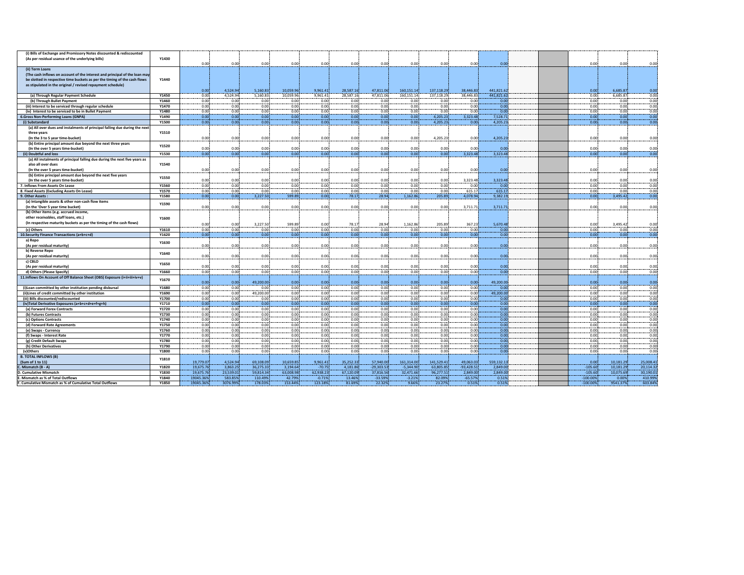| (i) Bills of Exchange and Promissory Notes discounted & rediscounted                               |                |              |              |                   |              |              |              |              |                   |                   |              |                   |              |                   |              |
|----------------------------------------------------------------------------------------------------|----------------|--------------|--------------|-------------------|--------------|--------------|--------------|--------------|-------------------|-------------------|--------------|-------------------|--------------|-------------------|--------------|
| (As per residual usance of the underlying bills)                                                   | Y1430          |              |              |                   |              |              |              |              |                   |                   |              |                   |              |                   |              |
|                                                                                                    |                | 0.00         | 0.00         | 0.00              | 0.00         | 0.00         | 0.00         | 0.00         | 0.00              | 0.00              | 0.00         | 0.00              | 0.00         | 0.00              | 0.00         |
| (ii) Term Loans                                                                                    |                |              |              |                   |              |              |              |              |                   |                   |              |                   |              |                   |              |
| (The cash inflows on account of the interest and principal of the loan may                         |                |              |              |                   |              |              |              |              |                   |                   |              |                   |              |                   |              |
| be slotted in respective time buckets as per the timing of the cash flows                          | Y1440          |              |              |                   |              |              |              |              |                   |                   |              |                   |              |                   |              |
| as stipulated in the original / revised repayment schedule)                                        |                |              |              |                   |              |              |              |              |                   |                   |              |                   |              |                   |              |
|                                                                                                    |                | 0.00         | 4.524.94     | 5.160.83          | 10,059.96    | 9,961.41     | 28,587.16    | 47,811.06    | 160,151.14        | 137,118.29        | 38.446.83    | 441,821.62        | 0.00         | 6.685.87          | 0.00         |
| (a) Through Regular Payment Schedule                                                               | Y1450          | 0.00         | 4,524.94     | 5,160.83          | 10,059.96    | 9,961.41     | 28,587.16    | 47,811.06    | 160,151.14        | 137,118.29        | 38,446.83    | 441,821.62        | 0.001        | 6,685.87          | 0.00         |
| (b) Through Bullet Payment                                                                         | Y1460<br>Y1470 | 0.00         | 0.00         | 0.00              | 0.00         | 0.00         | 0.00         | 0.00         | 0.00              | 0.00              | 0.00         | 0.00              | 0.00         | 0.00              | 0.00         |
| (iii) Interest to be serviced through regular schedule                                             | Y1480          | 0.00<br>0.00 | 0.00<br>0.00 | 0.00<br>0.00      | 0.00<br>0.00 | 0.00<br>0.00 | 0.00<br>0.00 | 0.00<br>0.00 | 0.00<br>0.00      | 0.00<br>0.00      | 0.00<br>0.00 | 0.00<br>0.00      | 0.00<br>0.00 | 0.00<br>0.00      | 0.00<br>0.00 |
| (iv) Interest to be serviced to be in Bullet Payment<br><b>6.Gross Non-Performing Loans (GNPA)</b> | Y1490          | 0.00         | 0.00         | 0.00              | 0.00         | 0.00         | 0.00         | 0.00         | 0.00              | 4,205.23          | 3,323.48     | 7,528.71          | 0.00         | 0.00              | 0.00         |
| (i) Substandard                                                                                    | Y1500          | 0.00         | 0.00         | 0.00              | 0.00         | 0.00         | 0.00         | 0.00         | 0.00              | 4,205.23          | 0.00         | 4,205.23          | 0.00         | 0.00              | 0.00         |
| (a) All over dues and instalments of principal falling due during the next                         |                |              |              |                   |              |              |              |              |                   |                   |              |                   |              |                   |              |
| three years                                                                                        | Y1510          |              |              |                   |              |              |              |              |                   |                   |              |                   |              |                   |              |
| (In the 3 to 5 year time-bucket)                                                                   |                | 0.00         | 0.00         | 0.00              | 0.00         | 0.00         | 0.00         | 0.00         | 0.00              | 4,205.23          | 0.00         | 4,205.23          | 0.00         | 0.00              | 0.00         |
| (b) Entire principal amount due beyond the next three years                                        |                |              |              |                   |              |              |              |              |                   |                   |              |                   |              |                   |              |
| (In the over 5 years time-bucket)                                                                  | Y1520          | 0.00         | 0.00         | 0.00              | 0.00         | 0.00         | 0.00         | 0.00         | 0.00              | 0.00              | 0.00         | 0.00              | 0.00         | 0.00              | 0.00         |
| (ii) Doubtful and loss                                                                             | Y1530          | 0.00         | 0.00         | 0.00              | 0.00         | 0.00         | 0.00         | 0.00         | 0.00              | 0.00              | 3,323.48     | 3,323.48          | 0.00         | 0.00              | 0.00         |
| (a) All instalments of principal falling due during the next five years as                         |                |              |              |                   |              |              |              |              |                   |                   |              |                   |              |                   |              |
| also all over dues                                                                                 | Y1540          |              |              |                   |              |              |              |              |                   |                   |              |                   |              |                   |              |
| (In the over 5 years time-bucket)                                                                  |                | 0.00         | 0.00         | 0.00              | 0.00         | 0.00         | 0.00         | 0.00         | 0.00              | 0.00              | 0.00         | 0.00              | 0.00         | 0.00              | 0.00         |
| (b) Entire principal amount due beyond the next five years                                         |                |              |              |                   |              |              |              |              |                   |                   |              |                   |              |                   |              |
| (In the over 5 years time-bucket)                                                                  | Y1550          | 0.00         | 0.00         | 0.00              | 0.00         | 0.00         | 0.00         | 0.00         | 0.00              | 0.00              | 3,323.48     | 3,323.48          | 0.00         | 0.00              | 0.00         |
| 7. Inflows From Assets On Lease                                                                    | Y1560          | 0.00         | 0.00         | 0.00              | 0.00         | 0.00         | 0.00         | 0.00         | 0.00              | 0.00              | 0.00         | 0.00              | 0.00         | 0.00              | 0.00         |
| 8. Fixed Assets (Excluding Assets On Lease)                                                        | Y1570          | 0.00         | 0.00         | 0.00              | 0.00         | 0.00         | 0.00         | 0.00         | 0.00              | 0.00              | 615.17       | 615.17            | 0.00         | 0.00              | 0.00         |
| 9. Other Assets:                                                                                   | Y1580          | 0.00         | 0.00         | 3,227.50          | 599.89       | 0.00         | 78.17        | 28.94        | 1,162.86          | 205.89            | 4,078.94     | 9,382.19          | 0.00         | 3,495.42          | 0.00         |
| (a) Intangible assets & other non-cash flow items                                                  | Y1590          |              |              |                   |              |              |              |              |                   |                   |              |                   |              |                   |              |
| (In the 'Over 5 year time bucket)                                                                  |                | 0.00         | 0.00         | 0.00              | 0.00         | 0.00         | 0.00         | 0.00         | 0.00              | 0.00              | 3,711.71     | 3,711.71          | 0.00         | 0.00              | 0.00         |
| (b) Other items (e.g. accrued income                                                               |                |              |              |                   |              |              |              |              |                   |                   |              |                   |              |                   |              |
| other receivables, staff loans, etc.)                                                              | Y1600          |              |              |                   |              |              |              |              |                   |                   |              |                   |              |                   |              |
| (In respective maturity buckets as per the timing of the cash flows)                               |                | 0.00         | 0.00         | 3,227.50          | 599.89       | 0.00         | 78.17        | 28.94        | 1,162.86          | 205.89            | 367.23       | 5,670.48          | 0.00         | 3,495.42          | 0.00         |
| (c) Others                                                                                         | Y1610          | 0.00         | 0.00         | 0.00              | 0.00         | 0.00         | 0.00         | 0.00         | 0.00.             | 0.00              | 0.00         | 0.00              | 0.00         | 0.00              | 0.00         |
| 10. Security Finance Transactions (a+b+c+d)                                                        | Y1620          | 0.00         | 0.00         | 0.00              | 0.00         | 0.001        | 0.00         | 0.00         | 0.00 <sub>1</sub> | 0.00 <sub>i</sub> | 0.001        | 0.00              | 0.00         | 0.00              | 0.00         |
| a) Repo                                                                                            | Y1630          |              |              |                   |              |              |              |              |                   |                   |              |                   |              |                   |              |
| (As per residual maturity)                                                                         |                | 0.00         | 0.00         | 0.00              | 0.00         | 0.00         | 0.00         | 0.00         | 0.00              | 0.00              | 0.00         | 0.00              | 0.00         | 0.00              | 0.00         |
| b) Reverse Repo                                                                                    | Y1640          |              |              |                   |              |              |              |              |                   |                   |              |                   |              |                   |              |
| (As per residual maturity)                                                                         |                | 0.00         | 0.00         | 0.00              | 0.00         | 0.00         | 0.00         | 0.00         | 0.00              | 0.00              | 0.00         | 0.00              | 0.00         | 0.00              | 0.00         |
| c) CBLO                                                                                            | Y1650          |              |              |                   |              |              |              |              |                   |                   |              |                   |              |                   |              |
| (As per residual maturity)                                                                         |                | 0.00         | 0.00         | 0.00              | 0.00         | 0.00         | 0.00         | 0.00         | 0.00              | 0.00              | 0.00         | 0.00              | 0.00         | 0.00              | 0.00         |
| d) Others (Please Specify)                                                                         | Y1660          | 0.00         | 0.00         | 0.00              | 0.00         | 0.00         | 0.00         | 0.00         | 0.00              | 0.00              | 0.00         | 0.00              | 0.00         | 0.00              | 0.00         |
| 11. Inflows On Account of Off Balance Sheet (OBS) Exposure (i+ii+iii+iv+v)                         | Y1670          |              |              |                   |              |              |              |              |                   |                   |              |                   |              |                   |              |
|                                                                                                    |                | 0.00         | 0.00         | 49,200.00         | 0.00         | 0.00         | 0.00         | 0.00         | 0.00              | 0.00              | 0.00         | 49,200.00         | 0.00         | 0.00              | 0.00         |
| (i)Loan committed by other institution pending disbursal                                           | Y1680          | 0.00         | 0.00         | 0.00              | 0.00         | 0.00         | 0.00         | 0.00         | 0.00              | 0.00              | 0.00         | 0.00<br>49,200.00 | 0.00         | 0.00              | 0.00         |
| (ii)Lines of credit committed by other institution<br>(iii) Bills discounted/rediscounted          | Y1690<br>Y1700 | 0.00<br>0.00 | 0.00<br>0.00 | 49,200.00<br>0.00 | 0.00<br>0.00 | 0.00<br>0.00 | 0.00<br>0.00 | 0.00<br>0.00 | 0.00<br>0.00      | 0.00<br>0.00      | 0.00<br>0.00 | 0.00              | 0.00<br>0.00 | 0.00<br>0.00      | 0.00<br>0.00 |
| (iv)Total Derivative Exposures (a+b+c+d+e+f+g+h)                                                   | Y1710          | 0.00         | 0.00         | 0.00              | 0.00         | 0.00         | 0.00         | 0.00         | 0.00              | 0.00              | 0.00         | 0.00              | 0.00         | 0.00              | 0.00         |
| (a) Forward Forex Contracts                                                                        | Y1720          | 0.00         | 0.00         | 0.00              | 0.00         | 0.00         | 0.00         | 0.00         | 0.00              | 0.00              | 0.00         | 0.00              | 0.00         | 0.00              | 0.00         |
| (b) Futures Contracts                                                                              | Y1730          | 0.00         | 0.00         | 0.00              | 0.00         | 0.00         | 0.00         | 0.00         | 0.00              | 0.00              | 0.00         | 0.00              | 0.00         | 0.00              | 0.00         |
| (c) Options Contracts                                                                              | Y1740          | 0.00         | 0.00         | 0.00              | 0.00         | 0.00         | 0.00         | 0.00         | 0.00              | 0.00              | 0.00         | 0.00              | 0.00         | 0.00              | 0.00         |
| (d) Forward Rate Agreements                                                                        | Y1750          | 0.00         | 0.00         | 0.00              | 0.00         | 0.00         | 0.00         | 0.00         | 0.00              | 0.00              | 0.00         | 0.00              | 0.00         | 0.00              | 0.00         |
| (e) Swaps - Currency                                                                               | Y1760          | 0.00         | 0.00         | 0.00              | 0.00         | 0.00         | 0.00         | 0.00         | 0.00              | 0.00              | 0.00         | 0.00              | 0.00         | 0.00              | 0.00         |
| (f) Swaps - Interest Rate                                                                          | Y1770          | 0.00         | 0.00         | 0.00              | 0.00         | 0.00         | 0.00         | 0.00         | 0.00              | 0.00              | 0.00         | 0.00              | 0.00         | 0.00 <sub>i</sub> | 0.00         |
| (g) Credit Default Swaps                                                                           | Y1780          | 0.00         | 0.00         | 0.00              | 0.00         | 0.00         | 0.00         | 0.00         | 0.00              | 0.00              | 0.00         | 0.00              | 0.00         | 0.00              | 0.00         |
| (h) Other Derivatives                                                                              | Y1790          | 0.00         | 0.00         | 0.00              | 0.00         | 0.00         | 0.00         | 0.00         | 0.00              | 0.00              | 0.00         | 0.00              | 0.00         | 0.00              | 0.00         |
| (v)Others                                                                                          | Y1800          | 0.00         | 0.00         | 0.00              | 0.00         | 0.00         | 0.00         | 0.00         | 0.00              | 0.00              | 0.00         | 0.00              | 0.00         | 0.00              | 0.00         |
| <b>B. TOTAL INFLOWS (B)</b>                                                                        |                |              |              |                   |              |              |              |              |                   |                   |              |                   |              |                   |              |
| (Sum of 1 to 11)                                                                                   | Y1810          | 19,779.07    | 4,524.94     | 69,108.09         | 10,659.85    | 9,961.41     | 35,252.33    | 57,940.00    | 161,314.00        | 141,529.41        | 49,063.03    | 559,132.13        | 0.00         | 10,181.29         | 25,008.41    |
| C. Mismatch (B - A)                                                                                | Y1820          | 19,675.76    | 3,863.25     | 36,275.33         | 3,194.64     | $-70.75$     | 4,181.86     | $-29,303.53$ | $-5,344.90$       | 63,805.85         | $-93,428.51$ | 2,849.00          | $-105.60$    | 10,181.29         | 20,114.32    |
| . Cumulative Mismatch                                                                              | Y1830          | 19,675.76    | 23,539.01    | 59,814.34         | 63,008.98    | 62.938.23    | 67,120.09    | 37,816.56    | 32,471.66         | 96,277.51         | 2,849.00     | 2,849.00          | $-105.60$    | 10,075.69         | 30,190.01    |
| . Mismatch as % of Total Outflows                                                                  | Y1840          | 19045.36%    | 583.85%      | 110.49%           | 42.79%       | $-0.71%$     | 13.46%       | $-33.59%$    | $-3.21%$          | 82.09%            | $-65.57%$    | 0.51%             | $-100.00%$   | 0.00%             | 410.99%      |
| . Cumulative Mismatch as % of Cumulative Total Outflows                                            | Y1850          | 19045.36%    | 3076.99%     | 178.03%           | 153.44%      | 123.18%      | 81.69%       | 22.32%       | 9.66%             | 23.27%            | 0.51%        | 0.51%             | $-100.00\%$  | 9541.37%          | 603.84%      |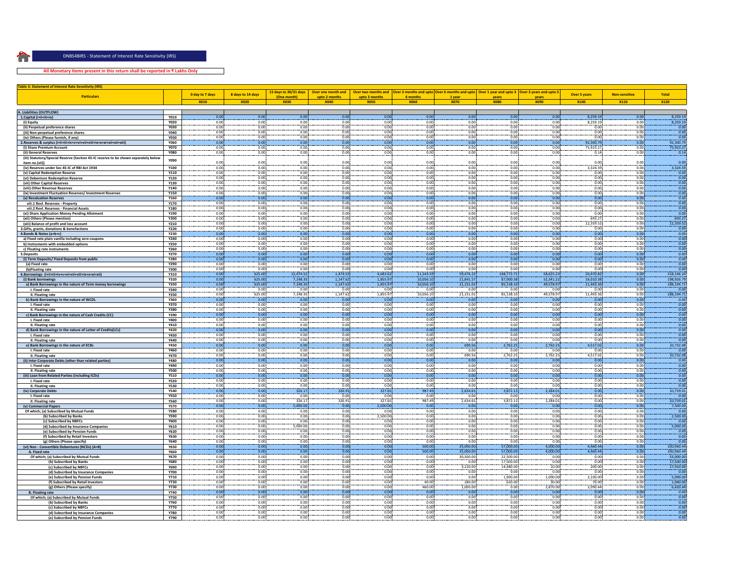$\mathbf{S} = \mathbf{S}$  ,  $\mathbf{S} = \mathbf{S}$  ,  $\mathbf{S} = \mathbf{S}$  ,  $\mathbf{S} = \mathbf{S}$  ,  $\mathbf{S} = \mathbf{S}$  ,  $\mathbf{S} = \mathbf{S}$  ,  $\mathbf{S} = \mathbf{S}$  ,  $\mathbf{S} = \mathbf{S}$  ,  $\mathbf{S} = \mathbf{S}$  ,  $\mathbf{S} = \mathbf{S}$  ,  $\mathbf{S} = \mathbf{S}$  ,  $\mathbf{S} = \mathbf{S}$  ,  $\mathbf{S$ DNBS4BIRS ‐ Statement of Interest Rate Sensitivity (IRS)

**All Monetary Items present in this return shall be reported in ₹ Lakhs Only**

| <b>Table 3: Statement of Interest Rate Sensitivity (IRS)</b>                               |                            |                 |                   |                                      |                                     |                      |                        |                                                                                                                                |                         |                        |                        |                      |                         |
|--------------------------------------------------------------------------------------------|----------------------------|-----------------|-------------------|--------------------------------------|-------------------------------------|----------------------|------------------------|--------------------------------------------------------------------------------------------------------------------------------|-------------------------|------------------------|------------------------|----------------------|-------------------------|
| <b>Particulars</b>                                                                         |                            | 0 day to 7 days | 8 days to 14 days | 15 days to 30/31 days<br>(One month) | Over one month and<br>upto 2 months | upto 3 months        | 6 months               | Over two months and Over 3 months and upto Over 6 months and upto   Over 1 year and upto 3   Over 3 years and upto 5<br>1 year | vears                   | vears                  | <b>Over 5 years</b>    | <b>Non-sensitive</b> | <b>Total</b>            |
|                                                                                            |                            | <b>X010</b>     | <b>X020</b>       | <b>X030</b>                          | <b>X040</b>                         | <b>X050</b>          | <b>X060</b>            | <b>X070</b>                                                                                                                    | <b>X080</b>             | <b>X090</b>            | X100                   | X110                 | <b>X120</b>             |
|                                                                                            |                            |                 |                   |                                      |                                     |                      |                        |                                                                                                                                |                         |                        |                        |                      |                         |
| A. Liabilities (OUTFLOW)                                                                   |                            |                 |                   |                                      |                                     |                      |                        |                                                                                                                                |                         |                        |                        |                      |                         |
| 1.Capital (i+ii+iii+iv)                                                                    | Y010<br><b>Y020</b>        | 0.00<br>0.00    | 0.00<br>0.00      | 0.00<br>0.00                         | 0.00<br>0.00                        | 0.00<br>0.00         | 0.00<br>0.00           | 0.00<br>0.00                                                                                                                   | 0.00<br>0.00            | 0.00<br>0.00           | 8,259.19<br>8.259.19   | 0.00<br>0.00         | 8,259.19<br>8,259.19    |
| (i) Equity<br>(ii) Perpetual preference shares                                             | Y030                       | 0.00            | 0.00              | 0.00                                 | 0.00                                | 0.00                 | 0.00                   | 0.00                                                                                                                           | 0.00                    | 0.00                   | 0.00                   | 0.00                 | 0.00                    |
| (iii) Non-perpetual preference shares                                                      | <b>Y040</b>                | 0.00            | 0.00              | 0.00                                 | 0.00                                | 0.00                 | 0.00                   | 0.00                                                                                                                           | 0.00                    | 0.00                   | 0.00                   | 0.00                 | 0.00                    |
| (iv) Others (Please furnish, if any)                                                       | <b>Y050</b>                | 0.00            | 0.00              | 0.00!                                | 0.00                                | 0.00                 | 0.00                   | 0.00!                                                                                                                          | 0.00                    | 0.00                   | 0.00                   | 0.00                 | 0.00                    |
|                                                                                            | <b>Y060</b>                | 0.00            | 0.00              | 0.00                                 | 0.00                                | 0.00                 | 0.00                   | 0.00                                                                                                                           | 0.00                    | 0.00                   | 92,300.79              | 0.00                 | 92,300.79               |
| (i) Share Premium Account                                                                  | <b>Y070</b>                | 0.00            | 0.00              | 0.00                                 | 0.00                                | 0.00                 | 0.00                   | 0.00                                                                                                                           | 0.00                    | 0.00                   | 75,923.2               | 0.00                 | 75,923.27               |
| (ii) General Reserves                                                                      | <b>Y080</b>                | 0.00            | 0.00              | 0.00                                 | 0.00                                | 0.00                 | 0.00                   | 0.00                                                                                                                           | 0.00                    | 0.00                   | 0.14                   | 0.00                 | 0.14                    |
| (iii) Statutory/Special Reserve (Section 45-IC reserve to be shown separately below        | <b>Y090</b>                | 0.00            | 0.00              | 0.00                                 | 0.00                                | 0.00                 | 0.00                   | 0.00                                                                                                                           | 0.00                    | 0.00                   | 0.0                    | 0.00                 | 0.00                    |
| item no.(vii)<br>(iv) Reserves under Sec 45-IC of RBI Act 1934                             | Y100                       | 0.00            | 0.00              | 0.00                                 | 0.00                                | 0.00                 | 0.00                   | 0.00                                                                                                                           | 0.00                    | 0.00                   | 3.324.59               | 0.00                 | 3.324.59                |
| (v) Capital Redemption Reserve                                                             | Y110                       | 0.00            | 0.00              | 0.00                                 | 0.00                                | 0.00                 | 0.00                   | 0.00                                                                                                                           | 0.00                    | 0.00                   | 0.00                   | 0.00                 | 0.00                    |
| (vi) Debenture Redemption Reserve                                                          | Y120                       | 0.00            | 0.00              | 0.00                                 | 0.00                                | 0.00                 | 0.00                   | 0.001                                                                                                                          | 0.00                    | 0.00                   | 0.00                   | 0.00 <sub>1</sub>    | 0.00                    |
| (vii) Other Capital Reserves                                                               | Y130                       | 0.00            | 0.00              | 0.00                                 | 0.00                                | 0.00                 | 0.00                   | 0.00                                                                                                                           | 0.00                    | 0.00                   | 0.00                   | 0.00                 | 0.00                    |
| (viii) Other Revenue Reserves                                                              | Y140                       | 0.00            | 0.00              | 0.00                                 | 0.00                                | 0.00                 | 0.00                   | 0.00                                                                                                                           | 0.00                    | 0.00                   | 0.00                   | 0.00                 | 0.00                    |
| (ix) Investment Fluctuation Reserves/ Investment Reserves                                  | Y150                       | 0.00            | 0.00              | 0.00                                 | 0.00                                | 0.00                 | 0.00                   | 0.00                                                                                                                           | 0.00                    | 0.00                   | 0.00                   | 0.00                 | 0.00                    |
| (x) Revaluation Reserves                                                                   | <b>Y160</b>                | 0.00<br>0.00    | 0.00<br>0.00      | 0.00                                 | 0.00<br>0.00                        | 0.00<br>0.00         | 0.00<br>0.00           | 0.00<br>0.00                                                                                                                   | 0.00<br>0.00            | 0.00<br>0.00           | 0.00<br>0.00           | 0.00                 | 0.00<br>0.00            |
| viii.1 Revl. Reserves - Property<br>viii.2 Revl. Reserves - Financial Assets               | Y170<br>Y180               | 0.00            | 0.00              | 0.00<br>0.00                         | 0.00                                | 0.00                 | 0.00                   | 0.00                                                                                                                           | 0.00                    | 0.00                   | 0.00                   | 0.00<br>0.00         | 0.00                    |
| (xi) Share Application Money Pending Allotment                                             | Y190                       | 0.00            | 0.00              | 0.00                                 | 0.00                                | 0.00                 | 0.00                   | 0.00                                                                                                                           | 0.00                    | 0.00                   | 0.00                   | 0.00                 | 0.00                    |
| (xii) Others (Please mention)                                                              | <b>Y200</b>                | 0.00            | 0.00              | 0.00                                 | 0.00                                | 0.00                 | 0.00                   | 0.00                                                                                                                           | 0.00                    | 0.00                   | 693.27                 | 0.00                 | 693.27                  |
| (xiii) Balance of profit and loss account                                                  | <b>Y210</b>                | 0.00            | 0.00              | 0.00                                 | 0.00                                | 0.00                 | 0.00                   | 0.00                                                                                                                           | 0.00                    | 0.00                   | 12.359.52              | 0.00                 | 12,359.52               |
| 3.Gifts, grants, donations & benefactions                                                  | <b>Y220</b>                | 0.00            | 0.00              | 0.00                                 | 0.00                                | 0.00                 | 0.00                   | 0.00                                                                                                                           | 0.00                    | 0.00                   | 0.00                   | 0.00                 | 0.00                    |
| 4.Bonds & Notes (a+b+c)                                                                    | <b>Y230</b>                | 0.00            | 0.00              | 0.00                                 | 0.00                                | 0.00                 | 0.00                   | 0.00                                                                                                                           | 0.00                    | 0.00                   | 0.00                   | 0.00                 | 0.00                    |
| a) Fixed rate plain vanilla including zero coupons<br>b) Instruments with embedded options | Y240<br><b>Y250</b>        | 0.00<br>0.00    | 0.00<br>0.00      | 0.00<br>0.00                         | 0.00<br>0.00                        | 0.00<br>0.00         | 0.00<br>0.00           | 0.00<br>0.00                                                                                                                   | 0.00<br>0.00            | 0.00<br>0.00           | 0.00<br>0.00           | 0.00<br>0.00         | 0.00<br>0.00            |
| c) Floating rate instruments                                                               | <b>Y260</b>                | 0.00            | 0.00              | 0.00                                 | 0.00                                | 0.00                 | 0.00                   | 0.00                                                                                                                           | 0.00                    | 0.00                   | 0.00                   | 0.00                 | 0.00                    |
| 5.Deposits                                                                                 | <b>Y270</b>                | 0.00            | 0.00              | 0.00                                 | 0.00                                | 0.00                 | 0.00                   | 0.00                                                                                                                           | 0.00                    | 0.00                   | 0.00                   | 0.00                 | 0.00                    |
| osits/ Fixed Deposits from public<br>(i) Term Dep                                          | <b>Y280</b>                | 0.00            | 0.00              | 0.00                                 | 0.00                                | 0.00                 | 0.00                   | 0.00                                                                                                                           | 0.00                    | 0.00                   | 0.00                   | 0.00                 | 0.00                    |
| (a) Fixed rate                                                                             | <b>Y290</b>                | 0.00            | 0.00              | 0.00                                 | 0.00                                | 0.00                 | 0.00                   | 0.00                                                                                                                           | 0.00                    | 0.00                   | 0.00                   | 0.00                 | 0.00                    |
| (b)Floating rate                                                                           | <b>Y300</b>                | 0.00            | 0.00              | 0.00                                 | 0.00                                | 0.00                 | 0.00                   | 0.00                                                                                                                           | 0.00                    | 0.00                   | 0.00                   | 0.00                 | 0.00                    |
| 6.Borrowings (i+ii+iii+iv+v+vi+vii+viii+ix+x+xi+xii)                                       | <b>Y310</b>                | 0.00<br>0.00    | 625.00<br>625.00  | 12,474.52<br>7.148.35                | 1,474.53                            | 4,683.62<br>1.855.97 | 11,543.59<br>10.056.10 | 59,476.22                                                                                                                      | 148,772.71<br>87,900.58 | 58,625.23<br>52.341.22 | 20,470.82              | 0.00<br>0.00         | 318,146.24              |
| (i) Bank borrowings                                                                        | Y320<br><b>Y330</b>        | 0.00            | 625.00            | 7,148.35                             | 1.147.62<br>1,147.62                | 1,855.97             |                        | 21.841.57<br>21,151.01                                                                                                         | 85,138.33               | 49,578.97              | 16.010.38<br>11,493.36 | 0.00                 | 198.926.7<br>188,194.71 |
| a) Bank Borrowings in the nature of Term money borrowings<br>I. Fixed rate                 | <b>Y340</b>                | 0.00            | 0.00              | 0.00                                 | 0.00                                | 0.00                 | 10,056.10<br>0.00      | 0.00                                                                                                                           | 0.00                    | 0.00                   | 0.00                   | 0.00                 | 0.0                     |
| II. Floating rate                                                                          | Y350                       | 0.00            | 625.00            | 7.148.35                             | 1,147.62                            | 1,855.97             | 10,056.10              | 21,151.01                                                                                                                      | 85,138.33               | 49,578.97              | 11,493.36              | 0.00                 | 188,194.71              |
| b) Bank Borrowings in the nature of WCDL                                                   | Y360                       | 0.00            | 0.00              | 0.00                                 | 0.00                                | 0.00                 | 0.00                   | 0.00                                                                                                                           | 0.00                    | 0.00                   | 0.00                   | 0.00                 | 0.0                     |
| I. Fixed rate                                                                              | <b>Y370</b>                | 0.00            | 0.00              | 0.00                                 | 0.00                                | 0.00                 | 0.00                   | 0.00                                                                                                                           | 0.00                    | 0.00                   | 0.00                   | 0.00                 | 0.00                    |
| II. Floating rate                                                                          | Y380                       | 0.00            | 0.00              | 0.00                                 | 0.00                                | 0.00                 | 0.00                   | 0.00                                                                                                                           | 0.00                    | 0.00                   | 0.00                   | 0.00                 | 0.00                    |
| c) Bank Borrowings in the nature of Cash Credits (CC)                                      | Y390                       | 0.00            | 0.00              | 0.00                                 | 0.00                                | 0.00                 | 0.00                   | 0.00                                                                                                                           | 0.00                    | 0.00                   | 0.00                   | 0.00                 | 0.00                    |
| I. Fixed rate                                                                              | Y400<br>Y410               | 0.00<br>0.00    | 0.00<br>0.00      | 0.00<br>0.00                         | 0.00<br>0.00                        | 0.00<br>0.00         | 0.00<br>0.00           | 0.00<br>0.00                                                                                                                   | 0.00<br>0.00            | 0.00<br>0.00           | 0.00<br>0.00           | 0.00<br>0.00         | 0.00<br>0.00            |
| II. Floating rate<br>d) Bank Borrowings in the nature of Letter of Credits(LCs)            | Y420                       | 0.00            | 0.00              | 0.00                                 | 0.00                                | 0.00                 | 0.00                   | 0.00                                                                                                                           | 0.00                    | 0.00                   | 0.00                   | 0.00                 | 0.00                    |
| I. Fixed rate                                                                              | <b>Y430</b>                | 0.00            | 0.00              | 0.00                                 | 0.00                                | 0.00                 | 0.00                   | 0.00                                                                                                                           | 0.00                    | 0.00                   | 0.00                   | 0.00                 | 0.00                    |
| II. Floating rate                                                                          | Y440                       | 0.00            | 0.00              | 0.00                                 | 0.00                                | 0.00                 | 0.00                   | 0.00                                                                                                                           | 0.00                    | 0.00                   | 0.00                   | 0.00                 | 0.00                    |
| e) Bank Borrowings in the nature of ECBs                                                   | <b>Y450</b>                | 0.00            | 0.00              | 0.00                                 | 0.00                                | 0.00                 | 0.00                   | 690.56                                                                                                                         | 2,762.25                | 2,762.25               | 4,517.02               | 0.00                 | 10,732.08               |
| I. Fixed rate                                                                              | <b>Y460</b>                | 0.00            | 0.00              | 0.00                                 | 0.00                                | 0.00                 | 0.00                   | 0.00                                                                                                                           | 0.00                    | 0.00                   | 0.00                   | 0.00                 | 0.0                     |
| II. Floating rate                                                                          | <b>Y470</b>                | 0.00            | 0.00              | 0.00                                 | 0.00                                | 0.00                 | 0.00                   | 690.56                                                                                                                         | 2,762.25                | 2,762.25               | 4,517.02               | 0.00                 | 10,732.08               |
| (ii) Inter Corporate Debts (other than related parties)<br>I. Fixed rate                   | <b>Y480</b><br><b>Y490</b> | 0.00<br>0.00    | 0.00<br>0.00      | 0.00<br>0.00                         | 0.00<br>0.00                        | 0.00<br>0.00         | 0.00<br>0.00           | 0.00<br>0.00                                                                                                                   | 0.00<br>0.00            | 0.00<br>0.00           | 0.00<br>0.00           | 0.00<br>0.00         | 0.00<br>0.00            |
| II. Floating rate                                                                          | <b>Y500</b>                | 0.00            | 0.00              | 0.00                                 | 0.00                                | 0.00                 | 0.00                   | 0.00                                                                                                                           | 0.00                    | 0.00                   | 0.00                   | 0.00                 | 0.00                    |
| (iii) Loan from Related Parties (including ICDs)                                           | <b>Y510</b>                | 0.00            | 0.00              | 0.00                                 | 0.00                                | 0.00                 | 0.00                   | 0.00                                                                                                                           | 0.00                    | 0.00                   | 0.00                   | 0.00                 | 0.00                    |
| I. Fixed rate                                                                              | <b>Y520</b>                | 0.00            | 0.00              | 0.00                                 | 0.00                                | 0.00                 | 0.00                   | 0.00                                                                                                                           | 0.00                    | 0.00                   | 0.00                   | 0.00                 | 0.00                    |
| II. Floating rate                                                                          | <b>Y530</b>                | 0.00            | 0.00              | 0.00                                 | 0.00                                | 0.00                 | 0.00                   | 0.00                                                                                                                           | 0.00                    | 0.00                   | 0.00                   | 0.00                 | 0.00                    |
| (iv) Corporate Debts                                                                       | <b>Y540</b>                | 0.00<br>0.00    | 0.00<br>0.00      | 326.17<br>0.00                       | 326.91<br>0.00                      | 327.65<br>0.00       | 987.49<br>0.00         | 2.634.65<br>0.00                                                                                                               | 3,872.13<br>0.00        | 2.284.01<br>0.00       | 0.00<br>0.00           | 0.00<br>0.00         | 10,759.01<br>0.00       |
| I. Fixed rate<br>II. Floating rate                                                         | <b>Y550</b><br><b>Y560</b> | 0.00            | 0.00              | 326.17                               | 326.91                              | 327.65               | 987.49                 | 2.634.65                                                                                                                       | 3.872.13                | 2.284.01               | 0.00                   | 0.00                 | 10.759.01               |
| (v) Commercial Papers                                                                      | <b>Y570</b>                | 0.00            | 0.00              | 5,000.00                             | 0.00                                | 2.500.00             | 0.00                   | 0.00                                                                                                                           | 0.00                    | 0.00                   | 0.00                   | 0.00                 | 7,500.00                |
| Of which; (a) Subscribed by Mutual Funds                                                   | <b>Y580</b>                | 0.00            | 0.00              | 0.00                                 | 0.00                                | 0.00                 | 0.00                   | 0.00                                                                                                                           | 0.00                    | 0.00                   | 0.00                   | 0.00                 | $-0.00$                 |
| (b) Subscribed by Banks                                                                    | <b>Y590</b>                | 0.00            | 0.00              | 0.00                                 | 0.00                                | 2,500.00             | 0.00                   | 0.00                                                                                                                           | 0.00                    | 0.00                   | 0.00                   | 0.00                 | 2,500.00                |
| (c) Subscribed by NBFCs                                                                    | <b>Y600</b>                | 0.00            | 0.00              | 0.00                                 | 0.00                                | 0.00                 | 0.00                   | 0.00                                                                                                                           | 0.00                    | 0.00                   | 0.00                   | 0.00                 | 0.0                     |
| (d) Subscribed by Insurance Companies                                                      | Y610                       | 0.00            | 0.00              | 5,000.00                             | 0.00                                | 0.00                 | 0.00                   | 0.00                                                                                                                           | 0.00                    | 0.00                   | 0.00                   | 0.00                 | 5,000.00                |
| (e) Subscribed by Pension Funds<br>(f) Subscribed by Retail Investors                      | <b>Y620</b><br>Y630        | 0.00<br>0.00    | 0.00<br>0.00      | 0.00<br>0.00                         | 0.00<br>0.00                        | 0.00<br>0.00         | 0.00<br>0.00           | 0.00<br>0.00                                                                                                                   | 0.00<br>0.00            | 0.00<br>0.00           | 0.00<br>0.00           | 0.00<br>0.00         | 0.00<br>0.00            |
| (g) Others (Please specify)                                                                | Y640                       | 0.00            | 0.00              | 0.00                                 | 0.00                                | 0.00                 | 0.00                   | 0.00                                                                                                                           | 0.00                    | 0.00                   | 0.00                   | 0.00                 | 0.00                    |
| (vi) Non - Convertible Debentures (NCDs) (A+B)                                             | <b>Y650</b>                | 0.00            | 0.00              | 0.00                                 | 0.00                                | 0.00                 | 500.00                 | 35,000.00                                                                                                                      | 57,000.00               | 4.000.00               | 4,460.44               | 0.00                 | 100,960.44              |
| A. Fixed rate                                                                              | <b>Y660</b>                | 0.00            | 0.00              | 0.00                                 | 0.00                                | 0.00                 | 500.00                 | 35,000.00                                                                                                                      | 57,000.00               | 4,000.00               | 4,460.44               | 0.00                 | 100,960.44              |
| Of which; (a) Subscribed by Mutual Funds                                                   | <b>Y670</b>                | 0.00            | 0.00              | 0.00                                 | 0.00                                | 0.00                 | 0.00                   | 30,500.00                                                                                                                      | 22.500.00               | 0.00                   | 0.00                   | 0.00                 | 53,000.00               |
| (b) Subscribed by Banks                                                                    | <b>Y680</b>                | 0.00            | 0.00              | 0.00                                 | 0.00                                | 0.00                 | 0.00                   | 0.00                                                                                                                           | 17,500.00               | 0.00                   | 0.00                   | 0.00                 | 17,500.0                |
| (c) Subscribed by NBFCs                                                                    | Y690                       | 0.00<br>0.00    | 0.00<br>0.00      | 0.00<br>0.00                         | 0.00<br>0.00                        | 0.00<br>0.00         | 0.00<br>0.00           | 3.220.00<br>0.00                                                                                                               | 14,480.00<br>0.00       | 10.00<br>0.00          | 200.00<br>0.00         | 0.00                 | 17,910.00<br>0.00       |
| (d) Subscribed by Insurance Companies<br>(e) Subscribed by Pension Funds                   | <b>Y700</b><br>Y710        | 0.00            | 0.00              | 0.00                                 | 0.00                                | 0.00                 | 0.00                   | 0.00                                                                                                                           | 1,900.00                | 1,090.00               | 2,100.00               | 0.00<br>0.00         | 5,090.00                |
| (f) Subscribed by Retail Investors                                                         | Y720                       | 0.00            | 0.00              | 0.00                                 | 0.00                                | 0.00                 | 40.00                  | 280.00                                                                                                                         | 620.00                  | 30.00                  | 70.00                  | 0.00                 | 1.040.0                 |
| (g) Others (Please specify)                                                                | <b>Y730</b>                | 0.00            | 0.00              | 0.00                                 | 0.00                                | 0.00                 | 460.00                 | 1,000.00                                                                                                                       | 0.00                    | 2,870.00               | 2,090.44               | 0.00                 | 6,420.44                |
| <b>B.</b> Floating rate                                                                    | Y740                       | 0.00            | 0.00              | 0.00                                 | 0.00                                | 0.00                 | 0.00                   | 0.00                                                                                                                           | 0.00                    | 0.00                   | 0.00                   | 0.00                 | 0.00                    |
| Of which; (a) Subscribed by Mutual Funds                                                   | <b>Y750</b>                | 0.00            | 0.00              | 0.00                                 | 0.00                                | 0.00                 | 0.00                   | 0.00                                                                                                                           | 0.00                    | 0.00                   | 0.00                   | 0.00                 | 0.00                    |
| (b) Subscribed by Banks                                                                    | Y760                       | 0.00            | 0.00              | 0.00                                 | 0.00                                | 0.00                 | 0.00                   | 0.00                                                                                                                           | 0.00                    | 0.00                   | 0.00                   | 0.00                 | 0.00                    |
| (c) Subscribed by NBFCs                                                                    | <b>Y770</b><br><b>Y780</b> | 0.00<br>0.00    | 0.00<br>0.00      | 0.00<br>0.00                         | 0.00<br>0.00                        | 0.00<br>0.00         | 0.00<br>0.00           | 0.00<br>0.00                                                                                                                   | 0.00<br>0.00            | 0.00<br>0.00           | 0.00<br>0.00           | 0.00                 | 0.00<br>0.00            |
| (d) Subscribed by Insurance Companies<br>(e) Subscribed by Pension Funds                   | Y790                       | 0.00            | 0.00              | 0.00                                 | 0.00                                | 0.00                 | 0.00                   | 0.00                                                                                                                           | 0.00                    | 0.00                   | 0.00                   | 0.00<br>0.00         | 0.00                    |
|                                                                                            |                            |                 |                   |                                      |                                     |                      |                        |                                                                                                                                |                         |                        |                        |                      |                         |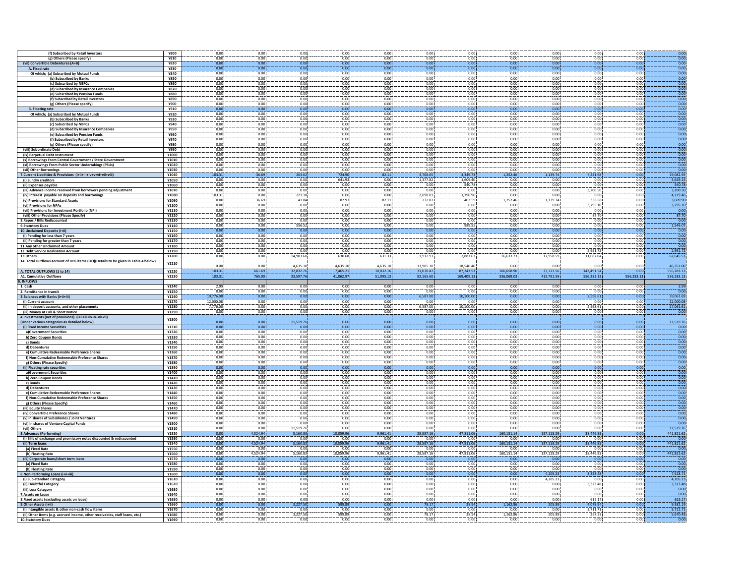|                                      |                                                                                    |                |              | 0.00             |                  |                   | 0.00             |                   |                   |                    |                    |                   |              | 0.00               |
|--------------------------------------|------------------------------------------------------------------------------------|----------------|--------------|------------------|------------------|-------------------|------------------|-------------------|-------------------|--------------------|--------------------|-------------------|--------------|--------------------|
|                                      | (f) Subscribed by Retail Investors                                                 | <b>Y800</b>    | 0.00<br>0.00 | 0.00             | 0.00<br>0.00     | 0.00<br>0.001     | 0.00             | 0.00<br>0.001     | 0.00<br>0.00      | 0.00<br>0.00       | 0.00<br>0.001      | 0.00<br>0.00      | 0.00<br>0.00 | 0.00               |
|                                      | (g) Others (Please specify)                                                        | <b>Y810</b>    |              |                  |                  |                   |                  |                   |                   |                    |                    |                   |              |                    |
| (vii) Conve                          | tible Debentures (A+B)                                                             | <b>Y820</b>    | 0.00         | 0.00             | 0.00             | 0.00              | 0.00             | 0.00              | 0.00              | 0.00               | 0.00               | 0.00              | 0.00         | 0.00               |
| A. Fixed rate                        |                                                                                    | <b>Y830</b>    | 0.00         | 0.00             | 0.00             | 0.00              | 0.00             | 0.00              | 0.00              | 0.00               | 0.00               | 0.00              | 0.00         | 0.00               |
|                                      | Of which; (a) Subscribed by Mutual Funds                                           | <b>Y840</b>    | 0.00         | 0.00             | 0.00             | 0.00              | 0.00             | 0.00              | 0.00              | 0.00               | 0.00               | 0.00              | 0.00         | $-0.00$            |
|                                      | (b) Subscribed by Banks                                                            | <b>Y850</b>    | 0.00         | 0.00             | 0.00             | 0.00              | 0.00             | 0.00              | 0.00              | 0.00               | 0.00               | 0.00              | 0.00         | 0.00               |
|                                      | (c) Subscribed by NBFCs                                                            | <b>Y860</b>    | 0.00         | 0.00             | 0.00             | 0.00              | 0.00             | 0.00              | 0.00              | 0.00               | 0.00               | 0.00              | 0.00         | 0.00               |
|                                      | (d) Subscribed by Insurance Companies                                              | <b>Y870</b>    | 0.00         | 0.00             | 0.00             | 0.00              | 0.00             | 0.00              | 0.00              | 0.00               | 0.00               | 0.00              | 0.00         | 0.00               |
|                                      | (e) Subscribed by Pension Funds                                                    | <b>Y880</b>    | 0.00         | 0.00             | 0.00             | 0.00              | 0.00             | 0.00              | 0.00              | 0.00               | 0.00               | 0.00              | 0.00         | 0.00               |
|                                      | (f) Subscribed by Retail Investors                                                 | <b>Y890</b>    | 0.00         | 0.00             | 0.00             | 0.00              | 0.00             | 0.00              | 0.00              | 0.00               | 0.00               | 0.00              | 0.00         | 0.00               |
|                                      | (g) Others (Please specify)                                                        | <b>Y900</b>    | 0.00         | 0.00             | 0.00             | 0.00              | 0.00             | 0.00              | 0.00              | 0.00               | 0.00               | 0.00              | 0.00         | 0.00               |
| <b>B.</b> Floating rate              |                                                                                    | Y910           | 0.00         | 0.00             | 0.00             | 0.00              | 0.00             | 0.00              | 0.00              | 0.00               | 0.00               | 0.00              | 0.00         | 0.00               |
|                                      | Of which; (a) Subscribed by Mutual Funds                                           | <b>Y920</b>    | 0.00         | 0.00             | 0.00             | 0.00              | 0.00             | 0.00              | 0.00              | 0.00               | 0.00               | 0.00              | 0.00         | 0.00               |
|                                      |                                                                                    |                | 0.00         | 0.00             | 0.00             | 0.00              | 0.00             | 0.00              | 0.00              | 0.00               | 0.00               | 0.00              | 0.00         | 0.00               |
|                                      | (b) Subscribed by Banks                                                            | Y930           |              |                  |                  |                   |                  |                   |                   |                    |                    |                   |              |                    |
|                                      | (c) Subscribed by NBFCs                                                            | <b>Y940</b>    | 0.00         | 0.00             | 0.00             | 0.00              | 0.00             | 0.00              | 0.00              | 0.00               | 0.00               | 0.00              | 0.00         | 0.00               |
|                                      | (d) Subscribed by Insurance Companies                                              | <b>Y950</b>    | 0.00         | 0.00             | 0.00             | 0.00              | 0.00             | 0.00              | 0.00              | 0.00               | 0.00               | 0.00              | 0.00         | 0.00               |
|                                      | (e) Subscribed by Pension Funds                                                    | Y960           | 0.00         | 0.00             | 0.00             | 0.00!             | 0.00             | 0.00              | 0.00              | 0.00               | 0.00               | 0.00              | 0.00         | 0.00               |
|                                      | (f) Subscribed by Retail Investors                                                 | <b>Y970</b>    | 0.00         | 0.00             | 0.00             | 0.00              | 0.00             | 0.00              | 0.00              | 0.00               | 0.00               | 0.00              | 0.00         | 0.00               |
|                                      | (g) Others (Please specify)                                                        | <b>Y980</b>    | 0.00         | 0.00             | 0.00             | 0.00              | 0.00             | 0.00              | 0.00              | 0.00               | 0.00               | 0.00              | 0.00         | 0.00               |
| (viii) Subordinate Debt              |                                                                                    | Y990           | 0.00         | 0.00             | 0.00             | 0.00              | 0.00             | 0.00              | 0.00              | 0.00               | 0.00               | 0.00              | 0.00         | $-0.00$            |
|                                      |                                                                                    | Y1000          | 0.00         | 0.00             | 0.00             | 0.00              | 0.00             | 0.00              | 0.00              | 0.00               | 0.00               | 0.00              | 0.00         | 0.00               |
| (ix) Perpetual Debt Instrument       |                                                                                    |                | 0.00         | 0.00             | 0.00             | 0.00              | 0.00             | 0.00              |                   |                    | 0.00               | 0.00              | 0.00         | 0.00               |
|                                      | (x) Borrowings From Central Government / State Government                          | Y1010          |              |                  |                  |                   |                  |                   | 0.00              | 0.00               |                    |                   |              |                    |
|                                      | (xi) Borrowings From Public Sector Undertakings (PSUs)                             | Y1020          | 0.00         | 0.00             | 0.00             | 0.00              | 0.00             | 0.00              | 0.00              | 0.00               | 0.00               | 0.00              | 0.00         | 0.00               |
| (xii) Other Borrowings               |                                                                                    | Y1030          | 0.00         | 0.00             | 0.00             | 0.00              | 0.00             | 0.00              | 0.00              | 0.00               | 0.00               | 0.00              | 0.00         | 0.00               |
|                                      | 7. Current Liabilities & Provisions (i+ii+iii+iv+v+vi+vii+viii)                    | Y1040          | 103.31       | 36.69            | 263.02           | 724.90            | 82.11            | 3.708.65          | 4.349.73          | 1.252.46           | 1.139.74           | 7.421.98          | 0.00         | 19.082.59          |
| (i) Sundry creditors                 |                                                                                    | Y1050          | 0.00         | 0.00             | 0.00             | 641.93            | 0.00             | 1.377.82          | 1.609.40          | 0.00               | 0.00               | 0.00              | 0.00         | 3.629.15           |
| (ii) Expenses payable                |                                                                                    | Y1060          | 0.00         | 0.00             | 0.00             | 0.00              | 0.00             | 0.00              | 540.78            | 0.00               | 0.00               | 0.00              | 0.00         | 540.78             |
|                                      | (iii) Advance income received from borrowers pending adjustment                    | Y1070          | 0.00         | 0.00             | 0.00             | 0.00              | 0.00             | 0.00              | 0.00              | 0.00               | 0.00               | 3,200.50          | 0.00         | 3,200.50           |
|                                      | (iv) Interest payable on deposits and borrowings                                   | Y1080          | 103.31       | 0.00             | 221.18           | 0.00              | 0.00             | 2,098.01          | 1,796.96          | 0.00               | 0.00               | 0.00              | 0.00         | 4,219.46           |
|                                      | (v) Provisions for Standard Assets                                                 | Y1090          | 0.00         | 36.69            | 41.84            | 82.97             | 82.11            | 232.82            | 402.59            | 1,252.46           | 1.139.74           | 338.68            | 0.00         | 3.609.90           |
| (vi) Provisions for NPAs             |                                                                                    | Y1100          | 0.00         | 0.00             | 0.00             | 0.00              | 0.00             | 0.00              | 0.00              | 0.00               | 0.00               | 3,795.10          | 0.00         | 3,795.10           |
|                                      | (vii) Provisions for Investment Portfolio (NPI)                                    | Y1110          | 0.00         | 0.00             | 0.00             | 0.00              | 0.00             | 0.00              | 0.00              | 0.00               | 0.00               | 0.00              | 0.00         | 0.00               |
|                                      |                                                                                    |                |              |                  |                  |                   |                  |                   |                   |                    |                    |                   |              |                    |
|                                      | (viii) Other Provisions (Please Specify)                                           | Y1120          | 0.00         | 0.00             | 0.00             | 0.00              | 0.00             | 0.00              | 0.00              | 0.00               | 0.00               | 87.70             | 0.00         | 87.70              |
| 8. Repos / Bills Rediscounted        |                                                                                    | Y1130          | 0.00         | 0.00             | 0.00             | 0.00              | 0.00             | 0.00              | 0.00              | 0.00               | 0.00               | 0.00              | 0.00         | 0.00               |
| 9.Statutory Dues                     |                                                                                    | Y1140          | 0.00         | 0.00             | 556.52           | 0.00              | 0.00             | 0.00              | 989.55            | 0.00               | 0.00               | 0.00              | 0.00         | 1.546.07           |
| 10. Unclaimed Deposits (i+ii)        |                                                                                    | Y1150          | 0.00         | 0.00             | 0.00             | 0.00              | 0.00             | 0.00              | 0.00              | 0.00               | 0.00               | 0.00              | 0.00         | 0.00               |
| (i) Pending for less than 7 years    |                                                                                    | Y1160          | 0.00         | 0.00             | 0.00             | 0.00              | 0.00             | 0.00              | 0.00              | 0.00               | 0.00               | 0.00              | 0.00         | 0.00               |
|                                      | (ii) Pending for greater than 7 years                                              | <b>Y1170</b>   | 0.00         | 0.00             | 0.00             | 0.00              | 0.00             | 0.00              | 0.00              | 0.00               | 0.00               | 0.00              | 0.00         | 0.00               |
| 11. Any other Unclaimed Amount       |                                                                                    | Y1180          | 0.00         | 0.00             | 0.00             | 0.00              | 0.00             | 0.00              | 0.00              | 0.00               | 0.00               | 0.00              | 0.00         | 0.00               |
| 12. Debt Service Realisation Account |                                                                                    | Y1190          | 0.00         | 0.00             | 0.00             | 0.00              | 0.00             | 0.00              | 0.00              | 0.00               | 0.00               | 2,951.72          | 0.00         | 2.951.72           |
| 13.Others                            |                                                                                    | Y1200          | 0.00         | 0.00             | 14,903.60        | 630.68            | 631.33           | 1,912.93          | 3,887.63          | 16,633.73          | 17,958.59          | 11,087.04         | 0.00         | 67,645.53          |
|                                      | 14. Total Outflows account of OBS items (OO)(Details to be given in Table 4 below) |                |              |                  |                  |                   |                  |                   |                   |                    |                    |                   |              |                    |
|                                      |                                                                                    | Y1210          |              |                  |                  |                   |                  |                   |                   |                    |                    | 0.00              |              |                    |
|                                      |                                                                                    |                | 0.00         | 0.00             | 4,635.10         | 4,635.10          | 4,635.10         | 13,905.30         | 18,540.40         | 0.00               | 0.00               |                   | 0.00         | 46,351.00          |
| A. TOTAL OUTFLOWS (1 to 14)          |                                                                                    | Y1220          | 103.31       | 661.69           | 32,832.76        | 7.465.21          | 10,032.16        | 31,070.47         | 87,243.53         | 166,658.90         | 77,723.56          | 142,491.54        | 0.00         | 556,283.13         |
| <b>A1. Cumulative Outflows</b>       |                                                                                    | Y1230          | 103.31       | 765.00           | 33,597.76        | 41,062.97         | 51,095.13        | 82.165.60         | 169,409.13        | 336,068.03         | 413,791.59         | 556,283.13        | 556,283.13   | 556,283.13         |
|                                      |                                                                                    |                |              |                  |                  |                   |                  |                   |                   |                    |                    |                   |              |                    |
| <b>B. INFLOWS</b>                    |                                                                                    |                |              |                  |                  |                   |                  |                   |                   |                    |                    |                   |              |                    |
| 1. Cash                              |                                                                                    | Y1240          | 2.99         | 0.00             | 0.00             | 0.00              | 0.00             | 0.00              | 0.00              | 0.00               | 0.00               | 0.00              | 0.00         | 2.99               |
| 2. Remittance in transit             |                                                                                    | Y1250          | 0.00         | 0.00             | 0.00             | 0.00              | 0.00             | 0.00              | 0.00              | 0.00               | 0.00               | 0.00              | 0.00         | 0.00               |
|                                      |                                                                                    | Y1260          | 19,776.08    | 0.00             | 0.00             | 0.00              | 0.00             | 6,587.00          | 10,100.00         | 0.00               | 0.00               | 2,598.61          | 0.00         | 39,061.69          |
| 3. Balances with Banks (i+ii+iii)    |                                                                                    |                | 12,000.08    | 0.00             | 0.00             | 0.00              | 0.00             | 0.00              | 0.00              | 0.00               | 0.00               | 0.00              | 0.00         | 12,000.08          |
| (i) Current account                  |                                                                                    | Y1270          |              |                  |                  |                   |                  |                   |                   |                    |                    |                   |              |                    |
|                                      | (ii) In deposit accounts, and other placements                                     | Y1280          | 7,776.00     | 0.00             | 0.00             | 0.00              | 0.00             | 6,587.00          | 10,100.00         | 0.00               | 0.00               | 2,598.61          | 0.00         | 27,061.61          |
| (iii) Money at Call & Short Notice   |                                                                                    | Y1290          | 0.00         | 0.00             | 0.00             | 0.00              | 0.00             | 0.00              | 0.00              | 0.00               | 0.00               | 0.00              | 0.00         | 0.00               |
|                                      | 4. Investments (net of provisions) (i+ii+iii+iv+v+vi+vii)                          | Y1300          |              |                  |                  |                   |                  |                   |                   |                    |                    |                   |              |                    |
|                                      | (Under various categories as detailed below)                                       |                | 0.00         | 0.00             | 11.519.76        | 0.00              | 0.00             | 0.00              | 0.00              | 0.00               | 0.00               | 0.00              | 0.00         | 11,519.76          |
| (i) Fixed Income Securities          |                                                                                    | Y1310          | 0.00         | 0.00             | 0.00             | 0.00              | 0.00             | 0.00              | 0.00              | 0.00               | 0.00               | 0.00              | 0.00         | 0.00               |
| a)Government Securities              |                                                                                    | Y1320          | 0.00         | 0.00             | 0.00             | 0.00              | 0.00             | 0.00              | 0.00              | 0.00               | 0.00               | 0.00              | 0.0          | 0.00               |
| b) Zero Coupon Bonds                 |                                                                                    | Y1330          | 0.00         | 0.00             | 0.00             | 0.00              | 0.00             | 0.00              | 0.00              | 0.00               | 0.00               | 0.00              | 0.00         | 0.00               |
| c) Bonds                             |                                                                                    | Y1340          | 0.00         | 0.00             | 0.00             | 0.00              | 0.00             | 0.00              | 0.00              |                    | 0.00               | 0.00              | 0.00         | 0.00               |
| d) Debentures                        |                                                                                    | Y1350          | 0.00         | 0.00             | 0.00             | 0.00              | 0.00             | 0.00              | 0.00              | 0.00<br>0.00       | 0.00               | 0.00              | 0.00         | 0.00               |
|                                      | e) Cumulative Redeemable Preference Shares                                         | Y1360          | 0.00         | 0.00             | 0.00             | 0.00              | 0.00             | 0.00              | 0.00              | 0.00               | 0.00               | 0.00              | 0.00         | 0.00               |
|                                      | f) Non-Cumulative Redeemable Preference Share:                                     | Y1370          | 0.00         | 0.00             | 0.00             | 0.00              | 0.00             | 0.00              | 0.00              | 0.00               | 0.00               | 0.00              | 0.00         | 0.00               |
| g) Others (Please Specify)           |                                                                                    | Y1380          | 0.00         | 0.00             | 0.00             | 0.00              | 0.00             | 0.00              | 0.00              | 0.00               | 0.00               | 0.00              | 0.00         | 0.00               |
|                                      |                                                                                    | Y1390          | 0.00         | 0.00             | 0.00             | 0.00              | 0.00             | 0.00              |                   |                    | 0.00               | 0.00              | 0.00         | 0.00               |
| (ii) Floating rate securities        |                                                                                    |                | 0.00         | 0.00             | 0.00             | 0.00              | 0.00             | 0.00              | 0.00<br>0.00      | 0.00<br>0.00       | 0.00               | 0.00              | 0.00         | 0.00               |
| a)Government Securities              |                                                                                    | Y1400          | 0.00         | 0.00             | 0.00             | 0.00              | 0.00             | 0.00              | 0.00              | 0.00               | 0.00               | 0.00              | 0.00         | 0.00               |
| b) Zero Coupon Bonds                 |                                                                                    | Y1410          |              |                  |                  |                   |                  |                   |                   |                    |                    |                   |              |                    |
| c) Bonds                             |                                                                                    | Y1420          | 0.00         | 0.00             | 0.00             | 0.00              | 0.00             | 0.00              | 0.00              | 0.00               | 0.00               | 0.00              | 0.00         | 0.00               |
| d) Debentures                        |                                                                                    | Y1430          | 0.00         | 0.00             | 0.00             | 0.00              | 0.00             | 0.00              | 0.00              | 0.00               | 0.00               | 0.00              | 0.00         | 0.00               |
|                                      | e) Cumulative Redeemable Preference Shares                                         | Y1440          | 0.00         | 0.00             | 0.00             | 0.00              | 0.00             | 0.00              | 0.00              | 0.00               | 0.00               | 0.00              | 0.00         | 0.00               |
|                                      | f) Non-Cumulative Redeemable Preference Shares                                     | Y1450          | 0.00         | 0.00             | 0.00             | 0.00              | 0.00             | 0.00              | 0.00              | 0.00               | 0.00               | 0.00              | 0.00         | 0.00               |
| g) Others (Please Specify)           |                                                                                    | Y1460          | 0.00         | 0.00             | 0.00             | 0.00              | 0.00             | 0.00              | 0.00              | 0.00               | 0.00               | 0.00              | 0.00         | 0.00               |
| (iii) Equity Shares                  |                                                                                    | Y1470          | 0.00         | 0.00             | 0.00             | 0.00              | 0.00             | 0.00              | 0.00              | 0.00               | 0.00               | 0.00              | 0.00         | 0.00               |
|                                      | (iv) Convertible Preference Shares                                                 | Y1480          | 0.00         | 0.00             | 0.00             | 0.00              | 0.00             | 0.00              | 0.00              | 0.00               | 0.00               | 0.00              | 0.00         | 0.00               |
|                                      | (v) In shares of Subsidiaries / Joint Ventures                                     | Y1490          | 0.00         | 0.00             | 0.00             | 0.00              | 0.00             | 0.00              | 0.00              |                    | 0.00               | 0.00              | 0.00         | 0.00               |
|                                      |                                                                                    | Y1500          | 0.00         | 0.00             | 0.00             | 0.00              | 0.00             | 0.00              | 0.00              | 0.00<br>0.00       | 0.00               | 0.00              | 0.00         | 0.00               |
| (vii) Others                         | (vi) In shares of Venture Capital Funds                                            | Y1510          | 0.00         | 0.00             | 11,519.76        | 0.00              | 0.00             | 0.00              | 0.00              | 0.00               | 0.00               | 0.00              | 0.00         | 11.519.76          |
|                                      |                                                                                    |                |              |                  | 5,160.83         | 10,059.9          |                  | 28,587.16         |                   |                    |                    |                   |              |                    |
| 5.Advances (Performing)              |                                                                                    | Y1520<br>Y1530 | 0.00         | 1,524.94<br>0.00 | 0.00             |                   | 9,961.41<br>0.00 | 0.00              | 47,811.06<br>0.00 | 160,151.14<br>0.00 | 137,118.29<br>0.00 | ,446.83<br>0.00   | 0.00         | 441,821.62<br>0.00 |
|                                      | (i) Bills of exchange and promissory notes discounted & rediscounted               |                | 0.00         |                  |                  | 0.00              |                  |                   |                   |                    |                    |                   | 0.00         |                    |
| (ii) Term loans                      |                                                                                    | <b>Y1540</b>   | 0.00<br>0.00 | 4,524.94<br>0.00 | 5,160.83<br>0.00 | 10,059.96<br>0.00 | 9,961.41<br>0.00 | 28.587.16<br>0.00 | 47,811.06<br>0.00 | 160,151.14<br>0.00 | 137,118.29<br>0.00 | 38,446.83<br>0.00 | 0.00<br>0.00 | 441.821.62<br>0.00 |
| (a) Fixed Rate                       |                                                                                    | Y1550          |              |                  |                  |                   |                  |                   |                   |                    |                    |                   |              |                    |
| (b) Floating Rate                    |                                                                                    | Y1560          | 0.00         | 4,524.94         | 5,160.83         | 10,059.96         | 9,961.41         | 28,587.16         | 47,811.06         | 160,151.14         | 137,118.29         | 38,446.83         | 0.00         | 441,821.62         |
|                                      | (iii) Corporate loans/short term loans                                             | Y1570          | 0.00         | 0.00             | 0.00             | 0.00              | 0.00             | 0.00              | 0.00              | 0.0                | 0.00               | 0.00              | 0.00         | 0.00               |
| (a) Fixed Rate                       |                                                                                    | <b>Y1580</b>   | 0.00         | 0.00             | 0.00             | 0.00              | 0.00             | 0.00              | 0.00              | 0.00               | 0.00               | 0.00              | 0.00         | 0.00               |
| (b) Floating Rate                    |                                                                                    | Y1590          | 0.00         | 0.00             | 0.00             | 0.00              | 0.00             | 0.00              | 0.00              | 0.00               | 0.00               | 0.00              | 0.00         | 0.00               |
| 6.Non-Performing Loans (i+ii+iii)    |                                                                                    | Y1600          | 0.00         | 0.00             | 0.00             | 0.00              | 0.00             | 0.00              | 0.00              | 0.00               | 4.205.23           | 3,323.48          | 0.00         | 7.528.71           |
| (i) Sub-standard Category            |                                                                                    | Y1610          | 0.00         | 0.00             | 0.00             | 0.00              | 0.00             | 0.00              | 0.00              | 0.00               | 4,205.23           | 0.00              | 0.00         | 4,205.23           |
| (ii) Doubtful Category               |                                                                                    | Y1620          | 0.00         | 0.00             | 0.00             | 0.00              | 0.00             | 0.00              | 0.00              | 0.00               | 0.00               | 3,323.48          | 0.00         | 3,323.48           |
| (iii) Loss Category                  |                                                                                    | Y1630          | 0.00         | 0.00             | 0.00             | 0.00              | 0.00             | 0.00              | 0.00              | 0.00               | 0.00               | 0.00              | 0.00         | 0.00               |
| 7.Assets on Lease                    |                                                                                    | Y1640          | 0.00         | 0.00             | 0.00             | 0.00              | 0.00             | 0.00              | 0.00              | 0.00               | 0.00               | 0.00              | 0.00         | 0.00               |
|                                      | 8. Fixed assets (excluding assets on lease)                                        | Y1650          | 0.00         | 0.00             | 0.00             | 0.00              | 0.00             | 0.00              | 0.00              | 0.00               | 0.00               | 615.17            | 0.00         | 615.17             |
| 9. Other Assets (i+ii)               |                                                                                    | Y1660          | 0.00         | 0.00             | 3,227.50         | 599.89            | 0.00             | 78.17             | 28.94             | 1,162.86           | 205.89             | 4.078.94          | 0.00         | 9.382.19           |
|                                      | (i) Intangible assets & other non-cash flow items                                  | Y1670          | 0.00         | 0.00             | 0.00             | 0.00              | 0.00             | 0.00              | 0.00              | 0.00               | 0.00               | 3,711.71          | 0.00         | 3,711.71           |
|                                      | (ii) Other items (e.g. accrued income, other receivables, staff loans, etc.)       | Y1680          | 0.00         | 0.00             | 3,227.50         | 599.89            | 0.00             | 78.17             | 28.94             | 1,162.86           | 205.89             | 367.23            | 0.00         | 5,670.48           |